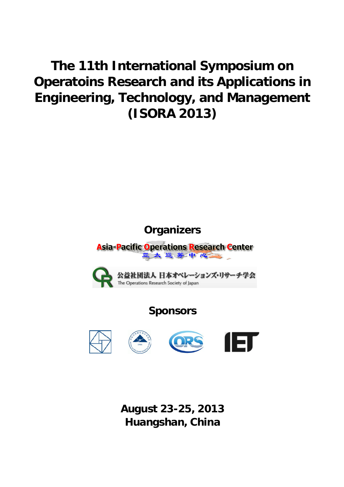# **The 11th International Symposium on Operatoins Research and its Applications in Engineering, Technology, and Management (ISORA 2013)**

# **Organizers**

**Asia-Pacific Operations Research Center** 亚太运筹中心



# **Sponsors**









**August 23-25, 2013 Huangshan, China**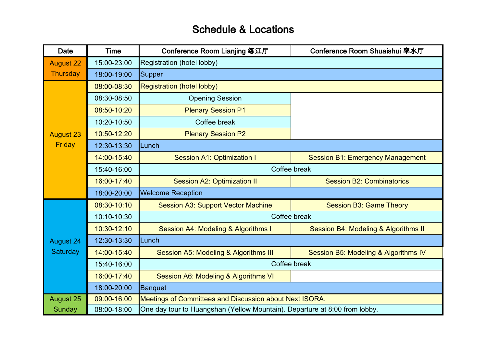# Schedule & Locations

| <b>Date</b>      | <b>Time</b> | Conference Room Lianjing 练江厅                                               | Conference Room Shuaishui 率水厅           |
|------------------|-------------|----------------------------------------------------------------------------|-----------------------------------------|
| <b>August 22</b> | 15:00-23:00 | Registration (hotel lobby)                                                 |                                         |
| Thursday         | 18:00-19:00 | Supper                                                                     |                                         |
|                  | 08:00-08:30 | <b>Registration (hotel lobby)</b>                                          |                                         |
|                  | 08:30-08:50 | <b>Opening Session</b>                                                     |                                         |
|                  | 08:50-10:20 | <b>Plenary Session P1</b>                                                  |                                         |
|                  | 10:20-10:50 | Coffee break                                                               |                                         |
| <b>August 23</b> | 10:50-12:20 | <b>Plenary Session P2</b>                                                  |                                         |
| Friday           | 12:30-13:30 | Lunch                                                                      |                                         |
|                  | 14:00-15:40 | <b>Session A1: Optimization I</b>                                          | <b>Session B1: Emergency Management</b> |
|                  | 15:40-16:00 | Coffee break                                                               |                                         |
|                  | 16:00-17:40 | <b>Session A2: Optimization II</b>                                         | <b>Session B2: Combinatorics</b>        |
|                  | 18:00-20:00 | <b>Welcome Reception</b>                                                   |                                         |
|                  | 08:30-10:10 | <b>Session A3: Support Vector Machine</b>                                  | <b>Session B3: Game Theory</b>          |
|                  | 10:10-10:30 | Coffee break                                                               |                                         |
|                  | 10:30-12:10 | Session A4: Modeling & Algorithms I                                        | Session B4: Modeling & Algorithms II    |
| <b>August 24</b> | 12:30-13:30 | Lunch                                                                      |                                         |
| Saturday         | 14:00-15:40 | Session A5: Modeling & Algorithms III                                      | Session B5: Modeling & Algorithms IV    |
|                  | 15:40-16:00 | Coffee break                                                               |                                         |
|                  | 16:00-17:40 | Session A6: Modeling & Algorithms VI                                       |                                         |
|                  | 18:00-20:00 | <b>Banquet</b>                                                             |                                         |
| <b>August 25</b> | 09:00-16:00 | Meetings of Committees and Discussion about Next ISORA.                    |                                         |
| Sunday           | 08:00-18:00 | One day tour to Huangshan (Yellow Mountain). Departure at 8:00 from lobby. |                                         |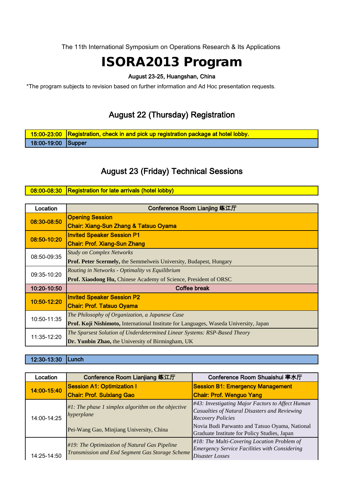The 11th International Symposium on Operations Research & Its Applications

# ISORA2013 Program

### August 23-25, Huangshan, China

\*The program subjects to revision based on further information and Ad Hoc presentation requests.

# August 22 (Thursday) Registration

|                    | 15:00-23:00 Registration, check in and pick up registration package at hotel lobby. |
|--------------------|-------------------------------------------------------------------------------------|
| 18:00-19:00 Supper |                                                                                     |

# August 23 (Friday) Technical Sessions

#### 08:00-08:30 Registration for late arrivals (hotel lobby)

| Location    | Conference Room Lianjing 练江厅                                                          |  |
|-------------|---------------------------------------------------------------------------------------|--|
| 08:30-08:50 | <b>Opening Session</b>                                                                |  |
|             | Chair: Xiang-Sun Zhang & Tatsuo Oyama                                                 |  |
| 08:50-10:20 | <b>Invited Speaker Session P1</b>                                                     |  |
|             | <b>Chair: Prof. Xiang-Sun Zhang</b>                                                   |  |
| 08:50-09:35 | <b>Study on Complex Networks</b>                                                      |  |
|             | <b>Prof. Peter Scermely, the Semmelweis University, Budapest, Hungary</b>             |  |
| 09:35-10:20 | Routing in Networks - Optimality vs Equilibrium                                       |  |
|             | Prof. Xiaodong Hu, Chinese Academy of Science, President of ORSC                      |  |
| 10:20-10:50 | Coffee break                                                                          |  |
| 10:50-12:20 | <b>Invited Speaker Session P2</b>                                                     |  |
|             | <b>Chair: Prof. Tatsuo Oyama</b>                                                      |  |
| 10:50-11:35 | The Philosophy of Organization, a Japanese Case                                       |  |
|             | Prof. Koji Nishimoto, International Institute for Languages, Waseda University, Japan |  |
| 11:35-12:20 | The Sparsest Solution of Underdetermined Linear Systems: RSP-Based Theory             |  |
|             | Dr. Yunbin Zhao, the University of Birmingham, UK                                     |  |

12:30-13:30 Lunch

| Location    | Conference Room Lianjiang 练江厅                                                                    | Conference Room Shuaishui 率水厅                                                                                                 |
|-------------|--------------------------------------------------------------------------------------------------|-------------------------------------------------------------------------------------------------------------------------------|
| 14:00-15:40 | <b>Session A1: Optimization I</b>                                                                | <b>Session B1: Emergency Management</b>                                                                                       |
|             | <b>Chair: Prof. Suixiang Gao</b>                                                                 | <b>Chair: Prof. Wenguo Yang</b>                                                                                               |
| 14:00-14:25 | $#1$ : The phase 1 simplex algorithm on the objective<br>hyperplane                              | #43: Investigating Major Factors to Affect Human<br>Casualties of Natural Disasters and Reviewing<br><b>Recovery Policies</b> |
|             | Pei-Wang Gao, Minjiang University, China                                                         | Novia Budi Parwanto and Tatsuo Oyama, National<br>Graduate Institute for Policy Studies, Japan                                |
| 14:25-14:50 | #19: The Optimization of Natural Gas Pipeline<br>Transmission and End Segment Gas Storage Scheme | $#18$ : The Multi-Covering Location Problem of<br><b>Emergency Service Facilities with Considering</b><br>Disaster Losses     |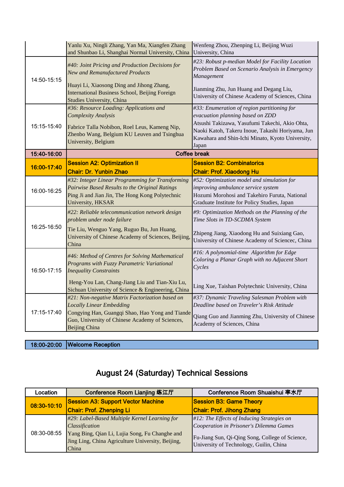|             | Yanlu Xu, Ningli Zhang, Yan Ma, Xiangfen Zhang<br>and Shunbao Li, Shanghai Normal University, China                                                                                                              | Wenfeng Zhou, Zhenping Li, Beijing Wuzi<br>University, China                                                                                                                                                                                       |
|-------------|------------------------------------------------------------------------------------------------------------------------------------------------------------------------------------------------------------------|----------------------------------------------------------------------------------------------------------------------------------------------------------------------------------------------------------------------------------------------------|
| 14:50-15:15 | #40: Joint Pricing and Production Decisions for<br>New and Remanufactured Products<br>Huayi Li, Xiaosong Ding and Jihong Zhang,<br>International Business School, Beijing Foreign                                | #23: Robust p-median Model for Facility Location<br>Problem Based on Scenario Analysis in Emergency<br><b>Management</b><br>Jianming Zhu, Jun Huang and Degang Liu,                                                                                |
|             | <b>Studies University, China</b>                                                                                                                                                                                 | University of Chinese Academy of Sciences, China                                                                                                                                                                                                   |
| 15:15-15:40 | #36: Resource Loading: Applications and<br><b>Complexity Analysis</b><br>Fabrice Talla Nobibon, Roel Leus, Kameng Nip,<br>Zhenbo Wang, Belgium KU Leuven and Tsinghua<br>University, Belgium                     | #33: Enumeration of region partitioning for<br>evacuation planning based on ZDD<br>Atsushi Takizawa, Yasufumi Takechi, Akio Ohta,<br>Naoki Katoh, Takeru Inoue, Takashi Horiyama, Jun<br>Kawahara and Shin-Ichi Minato, Kyoto University,<br>Japan |
| 15:40-16:00 |                                                                                                                                                                                                                  | <b>Coffee break</b>                                                                                                                                                                                                                                |
| 16:00-17:40 | <b>Session A2: Optimization II</b><br><b>Chair: Dr. Yunbin Zhao</b>                                                                                                                                              | <b>Session B2: Combinatorics</b><br><b>Chair: Prof. Xiaodong Hu</b>                                                                                                                                                                                |
| 16:00-16:25 | #32: Integer Linear Programming for Transforming<br>Pairwise Based Results to the Original Ratings<br>Ping Ji and Jian Jin, The Hong Kong Polytechnic<br>University, HKSAR                                       | #52: Optimization model and simulation for<br>improving ambulance service system<br>Hozumi Morohosi and Takehiro Furuta, National<br>Graduate Institute for Policy Studies, Japan                                                                  |
| 16:25-16:50 | #22: Reliable telecommunication network design<br>problem under node failure<br>Tie Liu, Wenguo Yang, Ruguo Bu, Jun Huang,<br>University of Chinese Academy of Sciences, Beijing,<br>China                       | #9: Optimization Methods on the Planning of the<br>Time Slots in TD-SCDMA System<br>Zhipeng Jiang, Xiaodong Hu and Suixiang Gao,<br>University of Chinese Academy of Sciencec, China                                                               |
| 16:50-17:15 | #46: Method of Centres for Solving Mathematical<br>Programs with Fuzzy Parametric Variational<br><b>Inequality Constraints</b>                                                                                   | #16: A polynomial-time Algorithm for Edge<br>Coloring a Planar Graph with no Adjacent Short<br>Cycles                                                                                                                                              |
|             | Heng-You Lan, Chang-Jiang Liu and Tian-Xiu Lu,<br>Sichuan University of Science & Engineering, China                                                                                                             | Ling Xue, Taishan Polytechnic University, China                                                                                                                                                                                                    |
| 17:15-17:40 | #21: Non-negative Matrix Factorization based on<br><b>Locally Linear Embedding</b><br>Congying Han, Guangqi Shao, Hao Yong and Tiande<br>Guo, University of Chinese Academy of Sciences,<br><b>Beijing China</b> | #37: Dynamic Traveling Salesman Problem with<br>Deadline based on Traveler's Risk Attitude<br>Qiang Guo and Jianming Zhu, University of Chinese<br>Academy of Sciences, China                                                                      |

18:00-20:00 Welcome Reception

# August 24 (Saturday) Technical Sessions

| Location    | Conference Room Lianjing 练江厅                                                                                                                                                                  | Conference Room Shuaishui 率水厅                                                                                                                                                          |
|-------------|-----------------------------------------------------------------------------------------------------------------------------------------------------------------------------------------------|----------------------------------------------------------------------------------------------------------------------------------------------------------------------------------------|
| 08:30-10:10 | <b>Session A3: Support Vector Machine</b>                                                                                                                                                     | <b>Session B3: Game Theory</b>                                                                                                                                                         |
|             | <b>Chair: Prof. Zhenping Li</b>                                                                                                                                                               | <b>Chair: Prof. Jihong Zhang</b>                                                                                                                                                       |
| 08:30-08:55 | #29: Label-Based Multiple Kernel Learning for<br><i><b>Classification</b></i><br>Yang Bing, Qian Li, Lujia Song, Fu Changhe and<br>Jing Ling, China Agriculture University, Beijing,<br>China | $#12$ : The Effects of Inducing Strategies on<br>Cooperation in Prisoner's Dilemma Games<br>Fu-Jiang Sun, Qi-Qing Song, College of Science,<br>University of Technology, Guilin, China |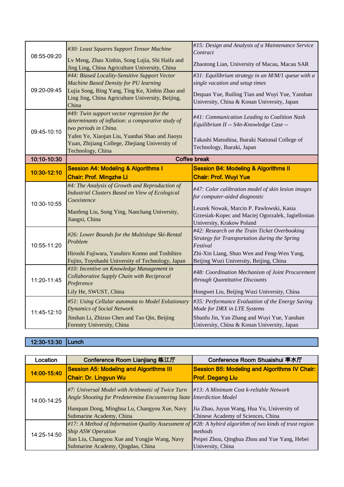| 08:55-09:20 | #30: Least Squares Support Tensor Machine<br>Lv Meng, Zhao Xinbin, Song Lujia, Shi Haifa and<br>Jing Ling, China Agriculture University, China                                                                                                     | #15: Design and Analysis of a Maintenance Service<br>Contract<br>Zhaotong Lian, University of Macau, Macau SAR                                                                                                    |
|-------------|----------------------------------------------------------------------------------------------------------------------------------------------------------------------------------------------------------------------------------------------------|-------------------------------------------------------------------------------------------------------------------------------------------------------------------------------------------------------------------|
| 09:20-09:45 | #44: Biased Locality-Sensitive Support Vector<br>Machine Based Density for PU learning<br>Lujia Song, Bing Yang, Ting Ke, Xinbin Zhao and<br>Ling Jing, China Agriculture University, Beijing,<br>China                                            | #31: Equilibrium strategy in an M/M/1 queue with a<br>single vacation and setup times<br>Dequan Yue, Ruiling Tian and Wuyi Yue, Yanshan<br>University, China & Konan University, Japan                            |
| 09:45-10:10 | #49: Twin support vector regression for the<br>determinants of inflation: a comparative study of<br>two periods in China.<br>Yafen Ye, Xiaojun Liu, Yuanhai Shao and Jiaoyu<br>Yuan, Zhijiang College, Zhejiang University of<br>Technology, China | #41: Communication Leading to Coalition Nash<br>Equilibrium II -- S4n-Knowledge Case --<br>Takashi Matsuhisa, Ibaraki National College of<br>Technology, Ibaraki, Japan                                           |
| 10:10-10:30 |                                                                                                                                                                                                                                                    | <b>Coffee break</b>                                                                                                                                                                                               |
| 10:30-12:10 | <b>Session A4: Modeling &amp; Algorithms I</b><br><b>Chair: Prof. Mingzhe Li</b>                                                                                                                                                                   | <b>Session B4: Modeling &amp; Algorithms II</b><br><b>Chair: Prof. Wuyi Yue</b>                                                                                                                                   |
| 10:30-10:55 | #4: The Analysis of Growth and Reproduction of<br><b>Industrial Clusters Based on View of Ecological</b><br>Coexistence<br>Manfeng Liu, Song Ying, Nanchang University,<br>Jiangxi, China                                                          | #47: Color calibration model of skin lesion images<br>for computer-aided diagnostic<br>Leszek Nowak, Marcin P. Pawlowski, Kasia<br>Grzesiak-Kopec and Maciej Ogorzalek, Jagiellonian<br>University, Krakow Poland |
| 10:55-11:20 | #26: Lower Bounds for the Multislope Ski-Rental<br>Problem<br>Hiroshi Fujiwara, Yasuhiro Konno and Toshihiro<br>Fujito, Toyohashi University of Technology, Japan                                                                                  | #42: Research on the Train Ticket Overbooking<br>Strategy for Transportation during the Spring<br>Festival<br>Zhi-Xin Liang, Shuo Wen and Feng-Wen Yang,<br>Beijing Wuzi University, Beijing, China               |
| 11:20-11:45 | #10: Incentive on Knowledge Management in<br>Collaborative Supply Chain with Reciprocal<br>Preference<br>Lily He, SWUST, China                                                                                                                     | #48: Coordination Mechanism of Joint Procurement<br>through Quantitative Discounts<br>Hongwei Liu, Beijing Wuzi University, China                                                                                 |
| 11:45-12:10 | #51: Using Cellular automata to Model Eolutionary<br><b>Dynamics of Social Network</b><br>Jinshan Li, Zhizuo Chen and Tao Qin, Beijing<br>Forestry University, China                                                                               | #35: Performance Evaluation of the Energy Saving<br>Mode for DRX in LTE Systems<br>Shunfu Jin, Yan Zhang and Wuyi Yue, Yanshan<br>University, China & Konan University, Japan                                     |

### 12:30-13:30 Lunch

| Location    | Conference Room Lianjiang 练江厅                                                                                                                                              | Conference Room Shuaishui 率水厅                                                     |
|-------------|----------------------------------------------------------------------------------------------------------------------------------------------------------------------------|-----------------------------------------------------------------------------------|
| 14:00-15:40 | <b>Session A5: Modeling and Algorithms III</b>                                                                                                                             | <b>Session B5: Modeling and Algorithms IV Chair:</b>                              |
|             | <b>Chair: Dr. Lingyun Wu</b>                                                                                                                                               | <b>Prof. Degang Liu</b>                                                           |
| 14:00-14:25 | #7: Universal Model with Arithmetic of Twice Turn<br>Angle Shooting for Predetermine Encountering State Interdiction Model<br>Hanquan Dong, Minghua Lu, Changyou Xue, Navy | $\sharp 13$ : A Minimum Cost k-reliable Network                                   |
|             | Submarine Academy, China                                                                                                                                                   | Jia Zhao, Juyun Wang, Hua Yu, University of<br>Chinese Academy of Sciences, China |
| 14:25-14:50 | #17: A Method of Information Quality Assessment of $#28$ : A hybird algorithm of two kinds of trust region<br><b>Ship ASW Operation</b>                                    | methods                                                                           |
|             | Jian Liu, Changyou Xue and Yongjie Wang, Navy<br>Submarine Academy, Qingdao, China                                                                                         | Peipei Zhou, Qinghua Zhou and Yue Yang, Hebei<br>University, China                |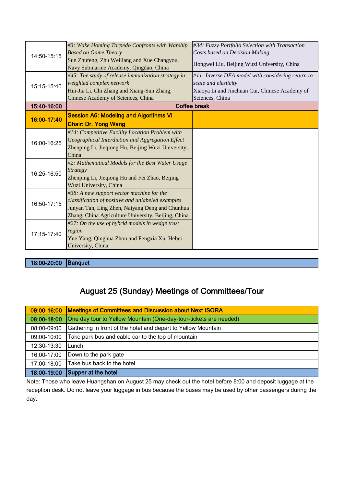| 14:50-15:15 | #3: Wake Homing Torpedo Confronts with Warship<br><b>Based on Game Theory</b><br>Sun Zhufeng, Zhu Weiliang and Xue Changyou, | #34: Fuzzy Portfolio Selection with Transaction<br>Costs based on Decision Making<br>Hongwei Liu, Beijing Wuzi University, China |
|-------------|------------------------------------------------------------------------------------------------------------------------------|----------------------------------------------------------------------------------------------------------------------------------|
|             | Navy Submarine Academy, Qingdao, China                                                                                       |                                                                                                                                  |
|             | #45: The study of release immunization strategy in                                                                           | $\#11$ : Inverse DEA model with considering return to                                                                            |
| 15:15-15:40 | weighted complex network<br>Hui-Jia Li, Chi Zhang and Xiang-Sun Zhang,                                                       | scale and elesticity<br>Xiaoya Li and Jinchuan Cui, Chinese Academy of                                                           |
|             | Chinese Academy of Sciences, China                                                                                           | Sciences, China                                                                                                                  |
| 15:40-16:00 |                                                                                                                              | <b>Coffee break</b>                                                                                                              |
|             | <b>Session A6: Modeling and Algorithms VI</b>                                                                                |                                                                                                                                  |
| 16:00-17:40 | <b>Chair: Dr. Yong Wang</b>                                                                                                  |                                                                                                                                  |
|             | #14: Competitive Facility Location Problem with                                                                              |                                                                                                                                  |
| 16:00-16:25 | Geographical Interdiction and Aggregation Effect                                                                             |                                                                                                                                  |
|             | Zhenping Li, Jieqiong Hu, Beijing Wuzi University,                                                                           |                                                                                                                                  |
|             | China<br>#2: Mathematical Models for the Best Water Usage                                                                    |                                                                                                                                  |
|             | <b>Strategy</b>                                                                                                              |                                                                                                                                  |
| 16:25-16:50 | Zhenping Li, Jieqiong Hu and Fei Zhao, Beijing                                                                               |                                                                                                                                  |
|             | Wuzi University, China                                                                                                       |                                                                                                                                  |
|             | #38: A new support vector machine for the                                                                                    |                                                                                                                                  |
| 16:50-17:15 | classification of positive and unlabeled examples                                                                            |                                                                                                                                  |
|             | Junyan Tan, Ling Zhen, Naiyang Deng and Chunhua                                                                              |                                                                                                                                  |
|             | Zhang, China Agriculture University, Beijing, China                                                                          |                                                                                                                                  |
|             | #27: On the use of hybrid models in wedge trust                                                                              |                                                                                                                                  |
| 17:15-17:40 | region                                                                                                                       |                                                                                                                                  |
|             | Yue Yang, Qinghua Zhou and Fengxia Xu, Hebei                                                                                 |                                                                                                                                  |
|             | University, China                                                                                                            |                                                                                                                                  |

18:00-20:00 Banquet

# August 25 (Sunday) Meetings of Committees/Tour

| 09:00-16:00 | <b>Meetings of Committees and Discussion about Next ISORA</b>     |
|-------------|-------------------------------------------------------------------|
| 08:00-18:00 | One day tour to Yellow Mountain (One-day-tour-tickets are needed) |
| 08:00-09:00 | Gathering in front of the hotel and depart to Yellow Mountain     |
| 09:00-10:00 | Take park bus and cable car to the top of mountain                |
| 12:30-13:30 | Lunch                                                             |
| 16:00-17:00 | Down to the park gate                                             |
| 17:00-18:00 | Take bus back to the hotel                                        |
| 18:00-19:00 | Supper at the hotel                                               |

Note: Those who leave Huangshan on August 25 may check out the hotel before 8:00 and deposit luggage at the reception desk. Do not leave your luggage in bus because the buses may be used by other passengers during the day.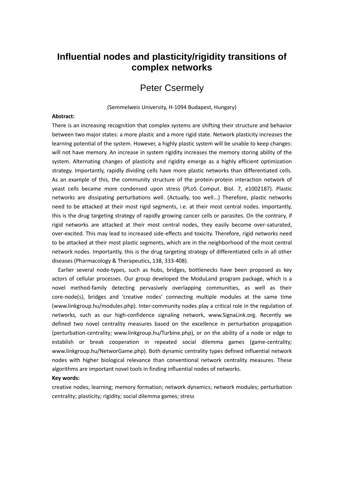# **Influential nodes and plasticity/rigidity transitions of complex networks**

# Peter Csermely

(Semmelweis University, H-1094 Budapest, Hungary)

#### **Abstract:**

There is an increasing recognition that complex systems are shifting their structure and behavior between two major states: a more plastic and a more rigid state. Network plasticity increases the learning potential of the system. However, a highly plastic system will be unable to keep changes: will not have memory. An increase in system rigidity increases the memory storing ability of the system. Alternating changes of plasticity and rigidity emerge as a highly efficient optimization strategy. Importantly, rapidly dividing cells have more plastic networks than differentiated cells. As an example of this, the community structure of the protein-protein interaction network of yeast cells became more condensed upon stress (PLoS Comput. Biol. 7, e1002187). Plastic networks are dissipating perturbations well. (Actually, too well...) Therefore, plastic networks need to be attacked at their most rigid segments, i.e. at their most central nodes. Importantly, this is the drug targeting strategy of rapidly growing cancer cells or parasites. On the contrary, if rigid networks are attacked at their most central nodes, they easily become over-saturated, over-excited. This may lead to increased side-effects and toxicity. Therefore, rigid networks need to be attacked at their most plastic segments, which are in the neighborhood of the most central network nodes. Importantly, this is the drug targeting strategy of differentiated cells in all other diseases (Pharmacology & Therapeutics, 138, 333-408).

Earlier several node-types, such as hubs, bridges, bottlenecks have been proposed as key actors of cellular processes. Our group developed the ModuLand program package, which is a novel method-family detecting pervasively overlapping communities, as well as their core-node(s), bridges and 'creative nodes' connecting multiple modules at the same time (www.linkgroup.hu/modules.php). Inter-community nodes play a critical role in the regulation of networks, such as our high-confidence signaling network, www.SignaLink.org. Recently we defined two novel centrality measures based on the excellence in perturbation propagation (perturbation-centrality; www.linkgroup.hu/Turbine.php), or on the ability of a node or edge to establish or break cooperation in repeated social dilemma games (game-centrality; www.linkgroup.hu/NetworGame.php). Both dynamic centrality types defined influential network nodes with higher biological relevance than conventional network centrality measures. These algorithms are important novel tools in finding influential nodes of networks.

#### **Key words:**

creative nodes; learning; memory formation; network dynamics; network modules; perturbation centrality; plasticity; rigidity; social dilemma games; stress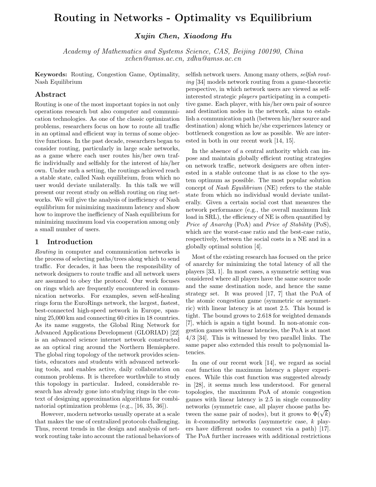# **Routing in Networks - Optimality vs Equilibrium**

*Xujin Chen, Xiaodong Hu*

*Academy of Mathematics and Systems Science, CAS, Beijing 100190, China xchen@amss.ac.cn, xdhu@amss.ac.cn*

**Keywords:** Routing, Congestion Game, Optimality, Nash Equilibrium

### **Abstract**

Routing is one of the most important topics in not only operations research but also computer and communication technologies. As one of the classic optimization problems, researchers focus on how to route all traffic in an optimal and efficient way in terms of some objective functions. In the past decade, researchers began to consider routing, particularly in large scale networks, as a game where each user routes his/her own traffic individually and selfishly for the interest of his/her own. Under such a setting, the routings achieved reach a stable state, called Nash equilibrium, from which no user would deviate unilaterally. In this talk we will present our recent study on selfish routing on ring networks. We will give the analysis of inefficiency of Nash equilibrium for minimizing maximum latency and show how to improve the inefficiency of Nash equilibrium for minimizing maximum load via cooperation among only a small number of users.

#### **1 Introduction**

*Routing* in computer and communication networks is the process of selecting paths/trees along which to send traffic. For decades, it has been the responsibility of network designers to route traffic and all network users are assumed to obey the protocol. Our work focuses on rings which are frequently encountered in communication networks. For examples, seven self-healing rings form the EuroRings network, the largest, fastest, best-connected high-speed network in Europe, spanning 25,000 km and connecting 60 cities in 18 countries. As its name suggests, the Global Ring Network for Advanced Applications Development (GLORIAD) [22] is an advanced science internet network constructed as an optical ring around the Northern Hemisphere. The global ring topology of the network provides scientists, educators and students with advanced networking tools, and enables active, daily collaboration on common problems. It is therefore worthwhile to study this topology in particular. Indeed, considerable research has already gone into studying rings in the context of designing approximation algorithms for combinatorial optimization problems (e.g., [16, 35, 36]).

However, modern networks usually operate at a scale that makes the use of centralized protocols challenging. Thus, recent trends in the design and analysis of network routing take into account the rational behaviors of selfish network users. Among many others, *selfish routing* [34] models network routing from a game-theoretic perspective, in which network users are viewed as selfinterested strategic *players* participating in a competitive game. Each player, with his/her own pair of source and destination nodes in the network, aims to establish a communication path (between his/her source and destination) along which he/she experiences latency or bottleneck congestion as low as possible. We are interested in both in our recent work [14, 15].

In the absence of a central authority which can impose and maintain globally efficient routing strategies on network traffic, network designers are often interested in a stable outcome that is as close to the system optimum as possible. The most popular solution concept of *Nash Equilibrium* (NE) refers to the stable state from which no individual would deviate unilaterally. Given a certain social cost that measures the network performance (e.g., the overall maximum link load in SRL), the efficiency of NE is often quantified by *Price of Anarchy* (PoA) and *Price of Stability* (PoS), which are the worst-case ratio and the best-case ratio, respectively, between the social costs in a NE and in a globally optimal solution [4].

Most of the existing research has focused on the price of anarchy for minimizing the total latency of all the players [33, 1]. In most cases, a symmetric setting was considered where all players have the same source node and the same destination node, and hence the same strategy set. It was proved [17, 7] that the PoA of the atomic congestion game (symmetric or asymmetric) with linear latency is at most 2.5. This bound is tight. The bound grows to 2.618 for weighted demands [7], which is again a tight bound. In non-atomic congestion games with linear latencies, the PoA is at most 4/3 [34]. This is witnessed by two parallel links. The same paper also extended this result to polynomial latencies.

In one of our recent work [14], we regard as social cost function the maximum latency a player experiences. While this cost function was suggested already in [28], it seems much less understood. For general topologies, the maximum PoA of atomic congestion games with linear latency is 2.5 in single commodity networks (symmetric case, all player choose paths benetworks (symmetric case, all player choose paths be-<br>tween the same pair of nodes), but it grows to  $\Phi(\sqrt{k})$ in k-commodity networks (asymmetric case, k players have different nodes to connect via a path) [17]. The PoA further increases with additional restrictions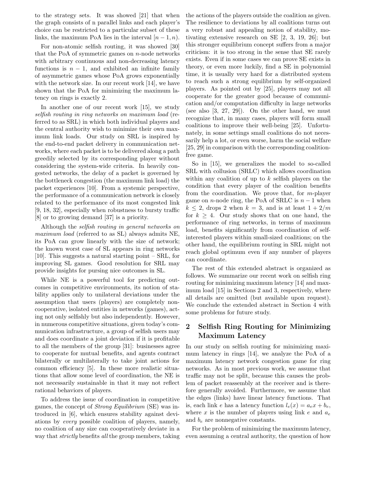to the strategy sets. It was showed [21] that when the graph consists of n parallel links and each player's choice can be restricted to a particular subset of these links, the maximum PoA lies in the interval  $[n-1, n)$ .

For non-atomic selfish routing, it was showed [30] that the PoA of symmetric games on  $n$ -node networks with arbitrary continuous and non-decreasing latency functions is  $n - 1$ , and exhibited an infinite family of asymmetric games whose PoA grows exponentially with the network size. In our recent work [14], we have shown that the PoA for minimizing the maximum latency on rings is exactly 2.

In another one of our recent work [15], we study *selfish routing in ring networks on maximum load* (referred to as SRL) in which both individual players and the central authority wish to minimize their own maximum link loads. Our study on SRL is inspired by the end-to-end packet delivery in communication networks, where each packet is to be delivered along a path greedily selected by its corresponding player without considering the system-wide criteria. In heavily congested networks, the delay of a packet is governed by the bottleneck congestion (the maximum link load) the packet experiences [10]. From a systemic perspective, the performance of a communication network is closely related to the performance of its most congested link [9, 18, 32], especially when robustness to bursty traffic [8] or to growing demand [37] is a priority.

Although the *selfish routing in general networks on maximum load* (referred to as SL) always admits NE, its PoA can grow linearly with the size of network; the known worst case of SL appears in ring networks [10]. This suggests a natural starting point – SRL, for improving SL games. Good resolution for SRL may provide insights for pursing nice outcomes in SL.

While NE is a powerful tool for predicting outcomes in competitive environments, its notion of stability applies only to unilateral deviations under the assumption that users (players) are completely noncooperative, isolated entities in networks (games), acting not only selfishly but also independently. However, in numerous competitive situations, given today's communication infrastructure, a group of selfish users may and does coordinate a joint deviation if it is profitable to all the members of the group [31]: businesses agree to cooperate for mutual benefits, and agents contract bilaterally or multilaterally to take joint actions for common efficiency [5]. In these more realistic situations that allow some level of coordination, the NE is not necessarily sustainable in that it may not reflect rational behaviors of players.

To address the issue of coordination in competitive games, the concept of *Strong Equilibrium* (SE) was introduced in [6], which ensures stability against deviations by *every* possible coalition of players, namely, no coalition of any size can cooperatively deviate in a way that *strictly* benefits *all* the group members, taking the actions of the players outside the coalition as given. The resilience to deviations by all coalitions turns out a very robust and appealing notion of stability, motivating extensive research on SE [2, 3, 19, 26]; but this stronger equilibrium concept suffers from a major criticism: it is too strong in the sense that SE rarely exists. Even if in some cases we can prove SE exists in theory, or even more luckily, find a SE in polynomial time, it is usually very hard for a distributed system to reach such a strong equilibrium by self-organized players. As pointed out by [25], players may not all cooperate for the greater good because of communication and/or computation difficulty in large networks (see also [3, 27, 29]). On the other hand, we must recognize that, in many cases, players will form small coalitions to improve their well-being [25]. Unfortunately, in some settings small coalitions do not necessarily help a lot, or even worse, harm the social welfare [25, 29] in comparison with the corresponding coalitionfree game.

So in [15], we generalizes the model to so-called SRL with collusion (SRLC) which allows coordination within any coalition of up to  $k$  selfish players on the condition that every player of the coalition benefits from the coordination. We prove that, for  $m$ -player game on *n*-node ring, the PoA of SRLC is  $n-1$  when  $k \leq 2$ , drops 2 when  $k = 3$ , and is at least  $1 + 2/m$ for  $k \geq 4$ . Our study shows that on one hand, the performance of ring networks, in terms of maximum load, benefits significantly from coordination of selfinterested players within small-sized coalitions; on the other hand, the equilibrium routing in SRL might not reach global optimum even if any number of players can coordinate.

The rest of this extended abstract is organized as follows. We summarize our recent work on selfish ring routing for minimizing maximum latency [14] and maximum load [15] in Sections 2 and 3, respectively, where all details are omitted (but available upon request). We conclude the extended abstract in Section 4 with some problems for future study.

### **2 Selfish Ring Routing for Minimizing Maximum Latency**

In our study on selfish routing for minimizing maximum latency in rings [14], we analyze the PoA of a maximum latency network congestion game for ring networks. As in most previous work, we assume that traffic may not be split, because this causes the problem of packet reassembly at the receiver and is therefore generally avoided. Furthermore, we assume that the edges (links) have linear latency functions. That is, each link e has a latency function  $l_e(x) = a_e x + b_e$ , where x is the number of players using link e and a*<sup>e</sup>* and b*<sup>e</sup>* are nonnegative constants.

For the problem of minimizing the maximum latency, even assuming a central authority, the question of how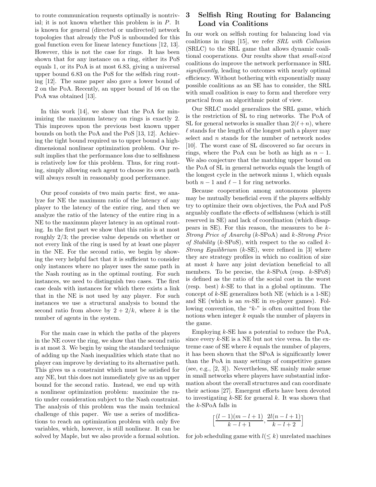to route communication requests optimally is nontrivial; it is not known whether this problem is in P. It is known for general (directed or undirected) network topologies that already the PoS is unbounded for this goal function even for linear latency functions [12, 13]. However, this is not the case for rings. It has been shown that for any instance on a ring, either its PoS equals 1, or its PoA is at most 6.83, giving a universal upper bound 6.83 on the PoS for the selfish ring routing [12]. The same paper also gave a lower bound of 2 on the PoA. Recently, an upper bound of 16 on the PoA was obtained [13].

In this work [14], we show that the PoA for minimizing the maximum latency on rings is exactly 2. This improves upon the previous best known upper bounds on both the PoA and the PoS [13, 12]. Achieving the tight bound required us to upper bound a highdimensional nonlinear optimization problem. Our result implies that the performance loss due to selfishness is relatively low for this problem. Thus, for ring routing, simply allowing each agent to choose its own path will always result in reasonably good performance.

Our proof consists of two main parts: first, we analyze for NE the maximum ratio of the latency of any player to the latency of the entire ring, and then we analyze the ratio of the latency of the entire ring in a NE to the maximum player latency in an optimal routing. In the first part we show that this ratio is at most roughly 2/3; the precise value depends on whether or not every link of the ring is used by at least one player in the NE. For the second ratio, we begin by showing the very helpful fact that it is sufficient to consider only instances where no player uses the same path in the Nash routing as in the optimal routing. For such instances, we need to distinguish two cases. The first case deals with instances for which there exists a link that in the NE is not used by any player. For such instances we use a structural analysis to bound the second ratio from above by  $2 + 2/k$ , where k is the number of agents in the system.

For the main case in which the paths of the players in the NE cover the ring, we show that the second ratio is at most 3. We begin by using the standard technique of adding up the Nash inequalities which state that no player can improve by deviating to its alternative path. This gives us a constraint which must be satisfied for any NE, but this does not immediately give us an upper bound for the second ratio. Instead, we end up with a nonlinear optimization problem: maximize the ratio under consideration subject to the Nash constraint. The analysis of this problem was the main technical challenge of this paper. We use a series of modifications to reach an optimization problem with only five variables, which, however, is still nonlinear. It can be solved by Maple, but we also provide a formal solution.

### **3 Selfish Ring Routing for Balancing Load via Coalitions**

In our work on selfish routing for balancing load via coalitions in rings [15], we refer *SRL with Collusion* (SRLC) to the SRL game that allows dynamic coalitional cooperations. Our results show that *small-sized* coalitions do improve the network performance in SRL *significantly*, leading to outcomes with nearly optimal efficiency. Without bothering with exponentially many possible coalitions as an SE has to consider, the SRL with small coalition is easy to form and therefore very practical from an algorithmic point of view.

Our SRLC model generalizes the SRL game, which is the restriction of SL to ring networks. The PoA of SL for general networks is smaller than  $2(\ell+n)$ , where  $\ell$  stands for the length of the longest path a player may select and *n* stands for the number of network nodes [10]. The worst case of SL discovered so far occurs in rings, where the PoA can be both as high as  $n - 1$ . We also conjecture that the matching upper bound on the PoA of SL in general networks equals the length of the longest cycle in the network minus 1, which equals both  $n-1$  and  $\ell-1$  for ring networks.

Because cooperation among autonomous players may be mutually beneficial even if the players selfishly try to optimize their own objectives, the PoA and PoS arguably conflate the effects of selfishness (which is still reserved in SE) and lack of coordination (which disappears in SE). For this reason, the measures to be k*-Strong Price of Anarchy* (k-SPoA) and k*-Strong Price of Stability* (k-SPoS), with respect to the so called k*-Strong Equilibrium* (k-SE), were refined in [3] where they are strategy profiles in which no coalition of size at most  $k$  have any joint deviation beneficial to all members. To be precise, the  $k$ -SPoA (resp.  $k$ -SPoS) is defined as the ratio of the social cost in the worst (resp. best)  $k$ -SE to that in a global optimum. The concept of  $k$ -SE generalizes both NE (which is a 1-SE) and SE (which is an  $m$ -SE in  $m$ -player games). Following convention, the " $k$ -" is often omitted from the notions when integer k equals the number of players in the game.

Employing  $k$ -SE has a potential to reduce the PoA, since every  $k$ -SE is a NE but not vice versa. In the extreme case of  $SE$  where  $k$  equals the number of players, it has been shown that the SPoA is significantly lower than the PoA in many settings of competitive games (see, e.g., [2, 3]). Nevertheless, SE mainly make sense in small networks where players have substantial information about the overall structures and can coordinate their actions [27]. Emergent efforts have been devoted to investigating  $k$ -SE for general k. It was shown that the k-SPoA falls in

$$
\left[\frac{(l-1)(m-l+1)}{k-l+1}, \frac{2l(n-l+1)}{k-l+2}\right]
$$

for job scheduling game with  $l(\leq k)$  unrelated machines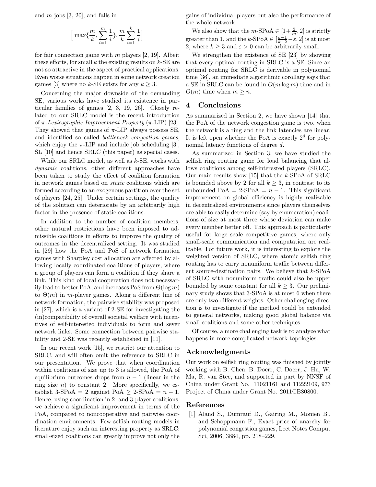and  $m$  jobs [3, 20], and falls in

$$
\Big[\max\{\frac{m}{k},\sum_{i=1}^m\frac{1}{i}\},\frac{m}{k}\sum_{i=1}^k\frac{1}{i}\Big]
$$

for fair connection game with  $m$  players [2, 19]. Albeit these efforts, for small  $k$  the existing results on  $k$ -SE are not so attractive in the aspect of practical applications. Even worse situations happen in some network creation games [3] where no k-SE exists for any  $k \geq 3$ .

Concerning the major downside of the demanding SE, various works have studied its existence in particular families of games [2, 3, 19, 26]. Closely related to our SRLC model is the recent introduction of π*-Lexicographic Improvement Property* (π-LIP) [23]. They showed that games of  $\pi$ -LIP always possess SE, and identified so called *bottleneck congestion games*, which enjoy the  $\pi$ -LIP and include job scheduling [3], SL [10] and hence SRLC (this paper) as special cases.

While our SRLC model, as well as  $k$ -SE, works with *dynamic* coalitions, other different approaches have been taken to study the effect of coalition formation in network games based on *static* coalitions which are formed according to an exogenous partition over the set of players [24, 25]. Under certain settings, the quality of the solution can deteriorate by an arbitrarily high factor in the presence of static coalitions.

In addition to the number of coalition members, other natural restrictions have been imposed to admissible coalitions in efforts to improve the quality of outcomes in the decentralized setting. It was studied in [29] how the PoA and PoS of network formation games with Sharpley cost allocation are affected by allowing locally coordinated coalitions of players, where a group of players can form a coalition if they share a link. This kind of local cooperation does not necessarily lead to better PoA, and increases PoS from  $\Theta(\log m)$ to  $\Theta(m)$  in *m*-player games. Along a different line of network formation, the pairwise stability was proposed in [27], which is a variant of 2-SE for investigating the (in)compatibility of overall societal welfare with incentives of self-interested individuals to form and sever network links. Some connection between pairwise stability and 2-SE was recently established in [11].

In our recent work [15], we restrict our attention to SRLC, and will often omit the reference to SRLC in our presentation. We prove that when coordination within coalitions of size up to 3 is allowed, the PoA of equilibrium outcomes drops from  $n - 1$  (linear in the ring size  $n$ ) to constant 2. More specifically, we establish 3-SPoA = 2 against PoA  $\geq$  2-SPoA =  $n-1$ . Hence, using coordination in 2- and 3-player coalitions, we achieve a significant improvement in terms of the PoA, compared to noncooperative and pairwise coordination environments. Few selfish routing models in literature enjoy such an interesting property as SRLC: small-sized coalitions can greatly improve not only the

gains of individual players but also the performance of the whole network.

We also show that the  $m$ -SPoA  $\in [1+\frac{2}{m}, 2]$  is strictly greater than 1, and the k-SPoA  $\in$   $\left[\frac{k-1}{k-2} - \varepsilon, 2\right]$  is at most 2, where  $k > 3$  and  $\varepsilon > 0$  can be arbitrarily small.

We strengthen the existence of SE [23] by showing that every optimal routing in SRLC is a SE. Since an optimal routing for SRLC is derivable in polynomial time [36], an immediate algorithmic corollary says that a SE in SRLC can be found in  $O(m \log m)$  time and in  $O(m)$  time when  $m \geq n$ .

#### **4 Conclusions**

As summarized in Section 2, we have shown [14] that the PoA of the network congestion game is two, when the network is a ring and the link latencies are linear. It is left open whether the PoA is exactly  $2^d$  for polynomial latency functions of degree d.

As summarized in Section 3, we have studied the selfish ring routing game for load balancing that allows coalitions among self-interested players (SRLC). Our main results show [15] that the k-SPoA of SRLC is bounded above by 2 for all  $k \geq 3$ , in contrast to its unbounded  $PoA = 2-SPoA = n - 1$ . This significant improvement on global efficiency is highly realizable in decentralized environments since players themselves are able to easily determine (say by enumeration) coalitions of size at most three whose deviation can make every member better off. This approach is particularly useful for large scale competitive games, where only small-scale communication and computation are realizable. For future work, it is interesting to explore the weighted version of SRLC, where atomic selfish ring routing has to carry nonuniform traffic between different source-destination pairs. We believe that  $k$ -SPoA of SRLC with nonuniform traffic could also be upper bounded by some constant for all  $k \geq 3$ . Our preliminary study shows that 3-SPoA is at most 6 when there are only two different weights. Other challenging direction is to investigate if the method could be extended to general networks, making good global balance via small coalitions and some other techniques.

Of course, a more challenging task is to analyze what happens in more complicated network topologies.

#### **Acknowledgments**

Our work on selfish ring routing was finished by jointly working with B. Chen, B. Doerr, C. Doerr, J. Hu, W. Ma, R. van Stee, and supported in part by NNSF of China under Grant No. 11021161 and 11222109, 973 Project of China under Grant No. 2011CB80800.

#### **References**

[1] Aland S., Dumrauf D., Gairing M., Monien B., and Schoppmann F., Exact price of anarchy for polynomial congestion games, Lect Notes Comput Sci, 2006, 3884, pp. 218–229.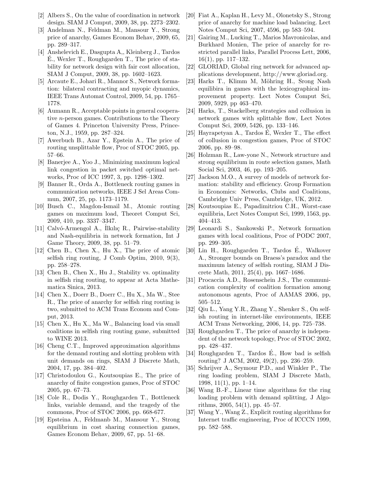- [2] Albers S., On the value of coordination in network design. SIAM J Comput, 2009, 38, pp. 2273–2302.
- [3] Andelman N., Feldman M., Mansour Y., Strong price of anarchy, Games Econom Behav, 2009, 65, pp. 289–317.
- [4] Anshelevich E., Dasgupta A,, Kleinberg J., Tardos E., Wexler T., Roughgarden T., The price of stability for network design with fair cost allocation, SIAM J Comput, 2009, 38, pp. 1602–1623.
- [5] Arcaute E., Johari R., Mannor S., Network formation: bilateral contracting and myopic dynamics, IEEE Trans Automat Control, 2009, 54, pp. 1765– 1778.
- [6] Aumann R., Acceptable points in general cooperative n-person games. Contributions to the Theory of Games 4. Princeton University Press, Princeton, N.J., 1959, pp. 287–324.
- [7] Awerbuch B., Azar Y., Epstein A., The price of routing unsplittable flow, Proc of STOC 2005, pp. 57–66.
- [8] Banerjee A., Yoo J., Minimizing maximum logical link congestion in packet switched optimal networks, Proc of ICC 1997, 3, pp. 1298–1302.
- [9] Banner R., Orda A., Bottleneck routing games in communication networks, IEEE J Sel Areas Commun, 2007, 25, pp. 1173–1179.
- [10] Busch C., Magdon-Ismail M., Atomic routing games on maximum load, Theoret Comput Sci, 2009, 410, pp. 3337–3347.
- [11] Calvó-Armengol A., İlkılıç R., Pairwise-stability and Nash-equilibria in network formation, Int J Game Theory, 2009, 38, pp. 51–79.
- [12] Chen B., Chen X., Hu X., The price of atomic selfish ring routing, J Comb Optim, 2010, 9(3), pp. 258–278.
- [13] Chen B., Chen X., Hu J., Stability vs. optimality in selfish ring routing, to appear at Acta Mathematica Sinica, 2013.
- [14] Chen X., Doerr B., Doerr C., Hu X., Ma W., Stee R., The price of anarchy for selfish ring routing is two, submitted to ACM Trans Econom and Comput, 2013.
- [15] Chen X., Hu X., Ma W., Balancing load via small coalitions in selfish ring routing game, submitted to WINE 2013.
- [16] Cheng C.T., Improved approximation algorithms for the demand routing and slotting problem with unit demands on rings, SIAM J Discrete Math, 2004, 17, pp. 384–402.
- [17] Christodoulou G., Koutsoupias E., The price of anarchy of finite congestion games, Proc of STOC 2005, pp. 67–73.
- [18] Cole R., Dodis Y., Roughgarden T., Bottleneck links, variable demand, and the tragedy of the commons, Proc of STOC 2006, pp. 668-677.
- [19] Epsteina A., Feldmanb M., Mansour Y., Strong equilibrium in cost sharing connection games, Games Econom Behav, 2009, 67, pp. 51–68.
- [20] Fiat A., Kaplan H., Levy M., Olonetsky S., Strong price of anarchy for machine load balancing. Lect Notes Comput Sci, 2007, 4596, pp 583–594.
- [21] Gairing M., Lucking T., Marios Mavronicolas, and Burkhard Monien, The price of anarchy for restricted parallel links, Parallel Process Lett, 2006, 16(1), pp. 117–132.
- [22] GLORIAD, Global ring network for advanced applications development, http://www.gloriad.org.
- [23] Harks T., Klimm M, Möhring H., Srong Nash equilibira in games with the lexicographical improvement property. Lect Notes Comput Sci, 2009, 5929, pp 463–470.
- [24] Harks, T., Stackelberg strategies and collusion in network games with splittable flow, Lect Notes Comput Sci, 2009, 5426, pp. 133–146.
- [25] Hayrapetyan A., Tardos  $\acute{E}$ , Wexler T., The effect of collusion in congestion games, Proc of STOC 2006, pp. 89–98.
- [26] Holzman R., Law-yone N., Network structure and strong equilibrium in route selection games, Math Social Sci, 2003, 46, pp. 193–205.
- [27] Jackson M.O., A survey of models of network formation: stability and efficiency. Group Formation in Economics: Networks, Clubs and Coalitions, Cambridge Univ Press, Cambridge, UK, 2012.
- [28] Koutsoupias E., Papadimitriou C.H., Worst-case equilibria, Lect Notes Comput Sci, 1999, 1563, pp. 404–413.
- [29] Leonardi S., Sankowski P., Network formation games with local coalitions, Proc of PODC 2007, pp. 299–305.
- [30] Lin H., Roughgarden T., Tardos E., Walkover ´ A., Stronger bounds on Braess's paradox and the maximum latency of selfish routing, SIAM J Discrete Math, 2011, 25(4), pp. 1667–1686.
- [31] Procaccia A.D., Rosenschein J.S., The communication complexity of coalition formation among autonomous agents, Proc of AAMAS 2006, pp, 505–512.
- [32] Qiu L., Yang Y.R., Zhang Y., Shenker S., On selfish routing in internet-like environments, IEEE ACM Trans Networking, 2006, 14, pp. 725–738.
- [33] Roughgarden T., The price of anarchy is independent of the network topology, Proc of STOC 2002, pp. 428–437.
- [34] Roughgarden T., Tardos É., How bad is selfish routing? J ACM, 2002, 49(2), pp. 236–259.
- [35] Schrijver A., Seymour P.D., and Winkler P., The ring loading problem, SIAM J Discrete Math, 1998, 11(1), pp. 1–14.
- [36] Wang B.-F., Linear time algorithms for the ring loading problem with demand splitting, J Algorithms, 2005, 54(1), pp. 45–57.
- [37] Wang Y., Wang Z., Explicit routing algorithms for Internet traffic engineering, Proc of ICCCN 1999, pp. 582–588.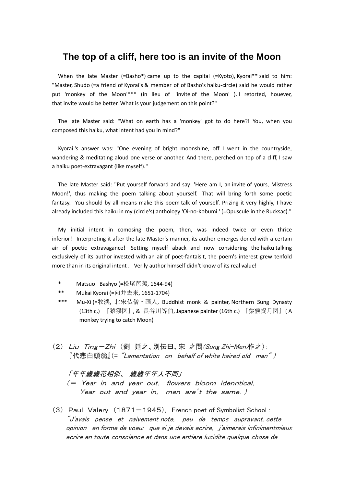# **The top of a cliff, here too is an invite of the Moon**

When the late Master (=Basho\*) came up to the capital (=Kyoto), Kyorai\*\* said to him: "Master, Shudo (=a friend of Kyorai's & member of of Basho's haiku-circle) said he would rather put 'monkey of the Moon'\*\*\* (in lieu of 'invite of the Moon' ). I retorted, houever, that invite would be better. What is your judgement on this point?"

The late Master said: "What on earth has a 'monkey' got to do here?! You, when you composed this haiku, what intent had you in mind?"

Kyorai 's answer was: "One evening of bright moonshine, off I went in the countryside, wandering & meditating aloud one verse or another. And there, perched on top of a cliff, I saw a haiku poet-extravagant (like myself)."

The late Master said: "Put yourself forward and say: 'Here am I, an invite of yours, Mistress Moon!', thus making the poem talking about yourself. That will bring forth some poetic fantasy. You should by all means make this poem talk of yourself. Prizing it very highly, I have already included this haiku in my (circle's) anthology 'Oi-no-Kobumi ' (=Opuscule in the Rucksac)."

My initial intent in comosing the poem, then, was indeed twice or even thrice inferior! Interpreting it after the late Master's manner, its author emerges doned with a certain air of poetic extravagance! Setting myself aback and now considering the haiku talking exclusively of its author invested with an air of poet-fantaisit, the poem's interest grew tenfold more than in its original intent . Verily author himself didn't know of its real value!

- \* Matsuo Bashyo (=松尾芭蕉, 1644-94)
- \*\* Mukai Kyorai (=向井去来, 1651-1704)
- \*\*\* Mu-Xi (=牧渓, 北宋仏僧・画人, Buddhist monk & painter, Northern Sung Dynasty (13th c,) 『猿猴図』, & 長谷川等伯, Japanese painter (16th c.) 『猿猴捉月図』( A monkey trying to catch Moon)
- (2) Liu Ting-Zhi (劉 廷之、別伝曰、宋 之問(Sung Zhi-Men)作之):  $\mathbb{R}^n$ 代悲白頭翁 $\mathbb{I}(\mathsf{=}\ \tilde{}'$ Lamentation on behalf of white haired old man $\tilde{}'$ )

「年年歳歳花相似、 歳歳年年人不同」 (= Yea<sup>r</sup> in and year out, flowers bloom idenntical, Year out and year in, men are't the same.)

(3) Paul Valery (1871-1945), French poet of Symbolist School : "J'avais pense et naivement note, peu de temps aupravant, cette opinion en forme de voeu: que si je devais ecrire, j'aimerais infinimentmieux ecrire en toute conscience et dans une entiere lucidite quelque chose de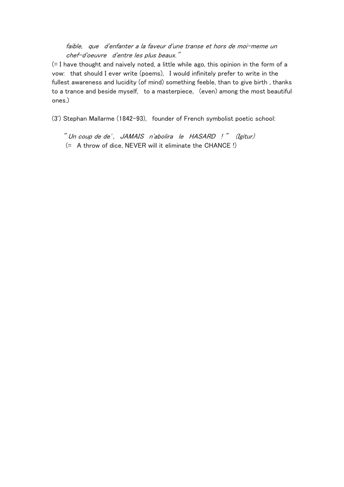### faible, que d'enfanter a la faveur d'une transe et hors de moi-meme un chef-d'oeuvre d'entre les plus beaux."

(= I have thought and naively noted, a little while ago, this opinion in the form of a vow: that should I ever write (poems), I would infinitely prefer to write in the fullest awareness and lucidity (of mind) something feeble, than to give birth , thanks to a trance and beside myself, to a masterpiece, (even) among the most beautiful ones.)

(3') Stephan Mallarme (1842-93), founder of French symbolist poetic school:

" Un coup de de' , JAMAIS <sup>n</sup>'abolira le HASARD ! " (Igitur) (= A throw of dice, NEVER will it eliminate the CHANCE !)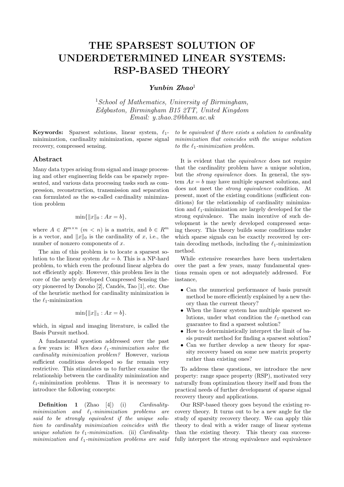# **THE SPARSEST SOLUTION OF UNDERDETERMINED LINEAR SYSTEMS: RSP-BASED THEORY**

*Yunbin Zhao*<sup>1</sup>

<sup>1</sup>*School of Mathematics, University of Birmingham, Edgbaston, Birmingham B15 2TT, United Kingdom Email: y.zhao.2@bham.ac.uk*

**Keywords:** Sparsest solutions, linear system, *ℓ*1 minimization, cardinality minimization, sparse signal recovery, compressed sensing.

#### **Abstract**

Many data types arising from signal and image processing and other engineering fields can be sparsely represented, and various data processing tasks such as compression, reconstruction, transmission and separation can formulated as the so-called cardinality minimization problem

$$
\min\{\|x\|_0 : Ax = b\},\
$$

where  $A \in R^{m \times n}$  ( $m < n$ ) is a matrix, and  $b \in R^m$ is a vector, and  $||x||_0$  is the cardinality of *x*, i.e., the number of nonzero components of *x.*

The aim of this problem is to locate a sparsest solution to the linear system  $Ax = b$ . This is a NP-hard problem, to which even the profound linear algebra do not efficiently apply. However, this problem lies in the core of the newly developed Compressed Sensing theory pioneered by Donoho [2], Cand´es, Tao [1], etc. One of the heuristic method for cardinality minimization is the *ℓ*1-minimization

$$
\min\{\|x\|_1 : Ax = b\}.
$$

which, in signal and imaging literature, is called the Basis Pursuit method.

A fundamental question addressed over the past a few years is: *When does ℓ*1*-minimization solve the cardinality minimization problem?* However, various sufficient conditions developed so far remain very restrictive. This stimulates us to further examine the relationship between the cardinality minimization and  $\ell_1$ -minimization problems. Thus it is necessary to introduce the following concepts:

**Definition 1** (Zhao [4]) (i) *Cardinalityminimization and ℓ*1*-minimization problems are said to be strongly equivalent if the unique solution to cardinality minimization coincides with the unique solution to ℓ*1*-minimization.* (ii) *Cardinalityminimization and ℓ*1*-minimization problems are said*

*to be equivalent if there exists a solution to cardinality minimization that coincides with the unique solution to the ℓ*1*-minimization problem.*

It is evident that the *equivalence* does not require that the cardinality problem have a unique solution, but the *strong equivalence* does. In general, the system  $Ax = b$  may have multiple sparsest solutions, and does not meet the *strong equivalence* condition. At present, most of the existing conditions (sufficient conditions) for the relationship of cardinality minimization and *ℓ*1-minimization are largely developed for the strong equivalence. The main incentive of such development is the newly developed compressed sensing theory. This theory builds some conditions under which sparse signals can be exactly recovered by certain decoding methods, including the  $\ell_1$ -minimization method.

While extensive researches have been undertaken over the past a few years, many fundamental questions remain open or not adequately addressed. For instance,

- *•* Can the numerical performance of basis pursuit method be more efficiently explained by a new theory than the current theory?
- *•* When the linear system has multiple sparsest solutions, under what condition the *ℓ*1-method can guarantee to find a sparsest solution?
- *•* How to deterministically interpret the limit of basis pursuit method for finding a sparsest solution?
- *•* Can we further develop a new theory for sparsity recovery based on some new matrix property rather than existing ones?

To address these questions, we introduce the new property: range space property (RSP), motivated very naturally from optimization theory itself and from the practical needs of further development of sparse signal recovery theory and applications.

Our RSP-based theory goes beyond the existing recovery theory. It turns out to be a new angle for the study of sparsity recovery theory. We can apply this theory to deal with a wider range of linear systems than the existing theory. This theory can successfully interpret the strong equivalence and equivalence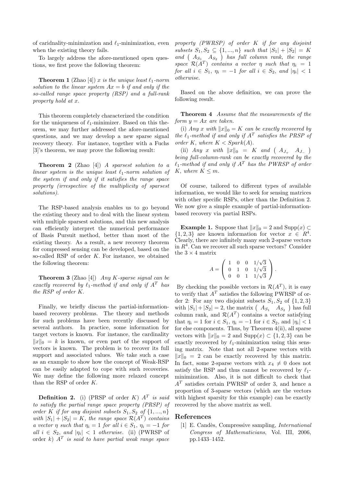of caridnality-minimization and *ℓ*1-minimization, even when the existing theory fails.

To largely address the afore-mentioned open questions, we first prove the following theorem:

**Theorem 1** (Zhao [4]) *x is the unique least*  $\ell_1$ *-norm solution to the linear system*  $Ax = b$  *if and only if the so-called range space property (RSP) and a full-rank property hold at x.*

This theorem completely characterized the condition for the uniqueness of *ℓ*1-minimizer. Based on this theorem, we may further addressed the afore-mentioned questions, and we may develop a new sparse signal recovery theory. For instance, together with a Fuchs [3]'s theorem, we may prove the following result:

**Theorem 2** (Zhao [4]) *A sparsest solution to a linear system is the unique least ℓ*1*-norm solution of the system if and only if it satisfies the range space property (irrespective of the multiplicity of sparsest solutions)*.

The RSP-based analysis enables us to go beyond the existing theory and to deal with the linear system with multiple sparsest solutions, and this new analysis can efficiently interpret the numerical performance of Basis Pursuit method, better than most of the existing theory. As a result, a new recovery theorem for compressed sensing can be developed, based on the so-called RSP of order *K.* For instance, we obtained the following theorem:

**Theorem 3** (Zhao [4]) *Any K-sparse signal can be exactly recovered by*  $\ell_1$ -method *if and only if*  $A^T$  *has the RSP of order K.*

Finally, we briefly discuss the partial-informationbased recovery problems. The theory and methods for such problems have been recently discussed by several authors. In practice, some information for target vectors is known. For instance, the cardinality  $||x||_0 = k$  is known, or even part of the support of vectors is known. The problem is to recover its full support and associated values. We take such a case as an example to show how the concept of Weak-RSP can be easily adapted to cope with such recoveries. We may define the following more relaxed concept than the RSP of order *K.*

**Definition 2.** (i) (PRSP of order *K*) *A<sup>T</sup> is said to satisfy the partial range space property (PRSP) of order K if for any disjoint subsets*  $S_1, S_2$  *of*  $\{1, ..., n\}$ *with*  $|S_1| + |S_2| = K$ , the range space  $\mathcal{R}(A^T)$  *contains a* vector  $\eta$  such that  $\eta_i = 1$  for all  $i \in S_1$ ,  $\eta_i = -1$  for *all*  $i \in S_2$ , *and*  $|\eta_i| < 1$  *otherwise.* (ii) (PWRSP of order *k*) *A<sup>T</sup> is said to have partial weak range space*

*property (PWRSP) of order K if for any disjoint subsets*  $S_1, S_2 \subseteq \{1, ..., n\}$  *such that*  $|S_1| + |S_2| = K$ *and* ( *A<sup>S</sup>*<sup>1</sup> *A<sup>S</sup>*<sup>2</sup> ) *has full column rank, the range space*  $\mathcal{R}(A^T)$  *contains a vector*  $\eta$  *such that*  $\eta_i = 1$ *for all*  $i \in S_1$ ,  $\eta_i = -1$  *for all*  $i \in S_2$ , *and*  $|\eta_i| < 1$ *otherwise.*

Based on the above definition, we can prove the following result.

**Theorem 4** *Assume that the measurements of the form*  $y = Ax$  *are taken.* 

(i) *Any x with*  $||x||_0 = K$  *can be exactly recovered by the*  $\ell_1$ -method if and only if  $A^T$  satisfies the PRSP of *order*  $K$ *, where*  $K <$  *Spark* $(A)$ *.* 

(ii) *Any x with*  $||x||_0 = K$  *and*  $(A_{J_+} A_{J_-})$ *being full-column-rank can be exactly recovered by the*  $\ell_1$ *-method if and only if*  $A^T$  *has the PWRSP of order K,* where  $K \leq m$ .

Of course, tailored to different types of available information, we would like to seek for sensing matrices with other specific RSPs, other than the Definition 2. We now give a simple example of partial-informationbased recovery via partial RSPs.

**Example 1.** Suppose that  $||x||_0 = 2$  and Supp $(x) \subset$  ${1, 2, 3}$  are known information for vector  $x \in R^4$ . Clearly, there are infinitely many such 2-sparse vectors in  $R<sup>4</sup>$ . Can we recover all such sparse vectors? Consider the  $3 \times 4$  matrix

$$
A = \left( \begin{array}{cccc} 1 & 0 & 0 & 1/\sqrt{3} \\ 0 & 1 & 0 & 1/\sqrt{3} \\ 0 & 0 & 1 & 1/\sqrt{3} \end{array} \right).
$$

By checking the possible vectors in  $\mathcal{R}(A^T)$ , it is easy to verify that  $A<sup>T</sup>$  satisfies the following PWRSP of order 2: For any two disjoint subsets  $S_1, S_2$  of  $\{1, 2, 3\}$ with  $|S_1| + |S_2| = 2$ , the matrix  $(A_{S_1} \ A_{S_2})$  has full column rank, and  $\mathcal{R}(A^T)$  contains a vector satisfying that  $\eta_i = 1$  for  $i \in S_1$ ,  $\eta_i = -1$  for  $i \in S_2$ , and  $|\eta_i| < 1$ for else components. Thus, by Theorem 4(ii), all sparse vectors with  $||x||_0 = 2$  and  $\text{Supp}(x) \subset \{1, 2, 3\}$  can be exactly recovered by  $\ell_1$ -minimization using this sensing matrix. Note that not all 2-sparse vectors with  $||x||_0 = 2$  can be exactly recovered by this matrix. In fact, some 2-sparse vectors with  $x_4 \neq 0$  does not satisfy the RSP and thus cannot be recovered by  $\ell_1$ minimization. Also, it is not difficult to check that *A<sup>T</sup>* satisfies certain PWRSP of order 3, and hence a proportion of 3-sparse vectors (which are the vectors with highest sparsity for this example) can be exactly recovered by the above matrix as well.

#### **References**

[1] E. Cand`es, Compressive sampling, *International Congress of Mathematicians*, Vol. III, 2006, pp.1433–1452.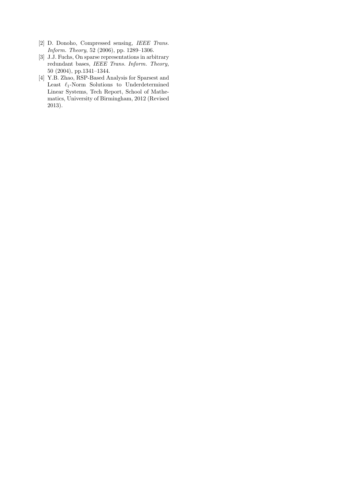- [2] D. Donoho, Compressed sensing, *IEEE Trans. Inform. Theory*, 52 (2006), pp. 1289–1306.
- [3] J.J. Fuchs, On sparse representations in arbitrary redundant bases, *IEEE Trans. Inform. Theory,* 50 (2004), pp.1341–1344.
- [4] Y.B. Zhao, RSP-Based Analysis for Sparsest and Least *ℓ*1-Norm Solutions to Underdetermined Linear Systems, Tech Report, School of Mathematics, University of Birmingham, 2012 (Revised 2013).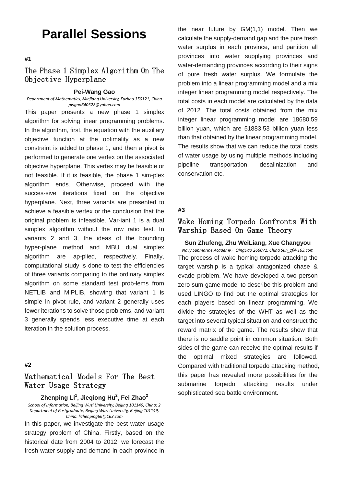# **Parallel Sessions**

**#1**

# The Phase 1 Simplex Algorithm On The Objective Hyperplane

#### **Pei-Wang Gao**

*Department of Mathematics, Minjiang University, Fuzhou 350121, China pwgao640328@yahoo.com*

This paper presents a new phase 1 simplex algorithm for solving linear programming problems. In the algorithm, first, the equation with the auxiliary objective function at the optimality as a new constraint is added to phase 1, and then a pivot is performed to generate one vertex on the associated objective hyperplane. This vertex may be feasible or not feasible. If it is feasible, the phase 1 sim-plex algorithm ends. Otherwise, proceed with the succes-sive iterations fixed on the objective hyperplane. Next, three variants are presented to achieve a feasible vertex or the conclusion that the original problem is infeasible. Var-iant 1 is a dual simplex algorithm without the row ratio test. In variants 2 and 3, the ideas of the bounding hyper-plane method and MBU dual simplex algorithm are ap-plied, respectively. Finally, computational study is done to test the efficiencies of three variants comparing to the ordinary simplex algorithm on some standard test prob-lems from NETLIB and MIPLIB, showing that variant 1 is simple in pivot rule, and variant 2 generally uses fewer iterations to solve those problems, and variant 3 generally spends less executive time at each iteration in the solution process.

### **#2**

# Mathematical Models For The Best Water Usage Strategy

**Zhenping Li1 , Jieqiong Hu<sup>2</sup> , Fei Zhao<sup>2</sup>**

*School of Information, Beijing Wuzi University, Beijing 101149, China; 2 Department of Postgraduate, Beijing Wuzi University, Beijing 101149, China. lizhenping66@163.com*

In this paper, we investigate the best water usage strategy problem of China. Firstly, based on the historical date from 2004 to 2012, we forecast the fresh water supply and demand in each province in

the near future by GM(1,1) model. Then we calculate the supply-demand gap and the pure fresh water surplus in each province, and partition all provinces into water supplying provinces and water-demanding provinces according to their signs of pure fresh water surplus. We formulate the problem into a linear programming model and a mix integer linear programming model respectively. The total costs in each model are calculated by the data of 2012. The total costs obtained from the mix integer linear programming model are 18680.59 billion yuan, which are 51883.53 billion yuan less than that obtained by the linear programming model. The results show that we can reduce the total costs of water usage by using multiple methods including pipeline transportation, desalinization and conservation etc.

#### **#3**

# Wake Homing Torpedo Confronts With Warship Based On Game Theory

**Sun Zhufeng, Zhu WeiLiang, Xue Changyou** *Navy Submarine Academy*,*QingDao 266071, China Sun\_zf@163.com* The process of wake homing torpedo attacking the target warship is a typical antagonized chase & evade problem. We have developed a two person zero sum game model to describe this problem and used LINGO to find out the optimal strategies for each players based on linear programming. We divide the strategies of the WHT as well as the target into several typical situation and construct the reward matrix of the game. The results show that there is no saddle point in common situation. Both sides of the game can receive the optimal results if the optimal mixed strategies are followed. Compared with traditional torpedo attacking method, this paper has revealed more possibilities for the submarine torpedo attacking results under sophisticated sea battle environment.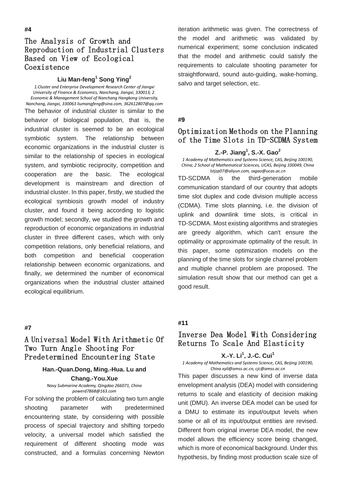# The Analysis of Growth and Reproduction of Industrial Clusters Based on View of Ecological **Coexistence**

#### **Liu Man-feng<sup>1</sup> Song Ying<sup>2</sup>**

*1.Cluster and Enterprise Development Research Center of Jiangxi University of Finance & Economics, Nanchang, Jiangxi, 330013; 2. Economic & Management School of Nanchang Hangkong University, Nanchang, Jiangxi, 330063 liumangfeng@sina.com, 362612807@qq.com* The behavior of industrial cluster is similar to the behavior of biological population, that is, the industrial cluster is seemed to be an ecological symbiotic system. The relationship between economic organizations in the industrial cluster is similar to the relationship of species in ecological system, and symbiotic reciprocity, competition and cooperation are the basic. The ecological development is mainstream and direction of industrial cluster. In this paper, firstly, we studied the ecological symbiosis growth model of industry cluster, and found it being according to logistic growth model; secondly, we studied the growth and reproduction of economic organizations in industrial cluster in three different cases, which with only competition relations, only beneficial relations, and both competition and beneficial cooperation relationship between economic organizations, and finally, we determined the number of economical organizations when the industrial cluster attained ecological equilibrium.

### **#7**

# A Universal Model With Arithmetic Of Two Turn Angle Shooting For Predetermined Encountering State

## **Han.-Quan.Dong, Ming.-Hua. Lu and Chang.-You.Xue**

*Navy Submarine Academy, Qingdao 266071, China powerd7868@163.com*

For solving the problem of calculating two turn angle shooting parameter with predetermined encountering state, by considering with possible process of special trajectory and shifting torpedo velocity, a universal model which satisfied the requirement of different shooting mode was constructed, and a formulas concerning Newton

iteration arithmetic was given. The correctness of the model and arithmetic was validated by numerical experiment; some conclusion indicated that the model and arithmetic could satisfy the requirements to calculate shooting parameter for straightforward, sound auto-guiding, wake-homing, salvo and target selection, etc.

#### **#9**

# Optimization Methods on the Planning of the Time Slots in TD-SCDMA System

### **Z.-P. Jiang<sup>1</sup> , S.-X. Gao<sup>2</sup>**

*1 Academy of Mathematics and Systems Science, CAS, Beijing 100190, China; 2 School of Mathematical Sciences, UCAS, Beijing 100049, China lstjzp07@aliyun.com, sxgao@ucas.ac.cn*

TD-SCDMA is the third-generation mobile communication standard of our country that adopts time slot duplex and code division multiple access (CDMA). Time slots planning, i.e. the division of uplink and downlink time slots, is critical in TD-SCDMA. Most existing algorithms and strategies are greedy algorithm, which can't ensure the optimality or approximate optimality of the result. In this paper, some optimization models on the planning of the time slots for single channel problem and multiple channel problem are proposed. The simulation result show that our method can get a good result.

# **#11**

# Inverse Dea Model With Considering Returns To Scale And Elasticity

### **X.-Y. Li1 , J.-C. Cui1**

*1 Academy of Mathematics and Systems Science, CAS, Beijing 100190, China xyli@amss.ac.cn, cjc@amss.ac.cn*

This paper discusses a new kind of inverse data envelopment analysis (DEA) model with considering returns to scale and elasticity of decision making unit (DMU). An inverse DEA model can be used for a DMU to estimate its input/output levels when some or all of its input/output entities are revised. Different from original inverse DEA model, the new model allows the efficiency score being changed, which is more of economical background. Under this hypothesis, by finding most production scale size of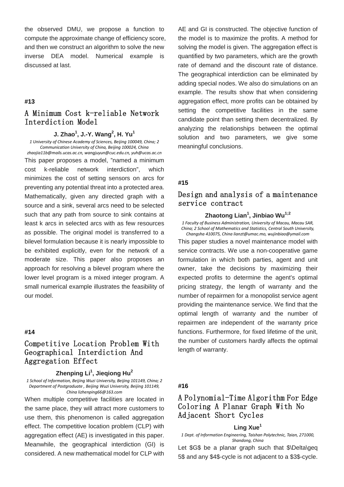the observed DMU, we propose a function to compute the approximate change of efficiency score, and then we construct an algorithm to solve the new inverse DEA model. Numerical example is discussed at last.

### **#13**

# A Minimum Cost k-reliable Network Interdiction Model

### **J. Zhao<sup>1</sup> , J.-Y. Wang<sup>2</sup> , H. Yu<sup>1</sup>**

*1 University of Chinese Academy of Sciences, Beijing 100049, China; 2 Communication University of China, Beijing 100024, China*

*[zhaojia11b@mails.ucas.ac.cn,](mailto:zhaojia11b@mails.ucas.ac.cn) wangjuyun@cuc.edu.cn, yuh@ucas.ac.cn* This paper proposes a model, "named a minimum cost k-reliable network interdiction", which minimizes the cost of setting sensors on arcs for preventing any potential threat into a protected area. Mathematically, given any directed graph with a source and a sink, several arcs need to be selected such that any path from source to sink contains at least k arcs in selected arcs with as few resources as possible. The original model is transferred to a bilevel formulation because it is nearly impossible to be exhibited explicitly, even for the network of a moderate size. This paper also proposes an approach for resolving a bilevel program where the lower level program is a mixed integer program. A small numerical example illustrates the feasibility of our model.

### **#14**

# Competitive Location Problem With Geographical Interdiction And Aggregation Effect

### **Zhenping Li1 , Jieqiong Hu<sup>2</sup>**

*1 School of Information, Beijing Wuzi University, Beijing 101149, China; 2 Department of Postgraduate , Beijing Wuzi University, Beijing 101149, China lizhenping66@163.com*

When multiple competitive facilities are located in the same place, they will attract more customers to use them, this phenomenon is called aggregation effect. The competitive location problem (CLP) with aggregation effect (AE) is investigated in this paper. Meanwhile, the geographical interdiction (GI) is considered. A new mathematical model for CLP with AE and GI is constructed. The objective function of the model is to maximize the profits. A method for solving the model is given. The aggregation effect is quantified by two parameters, which are the growth rate of demand and the discount rate of distance. The geographical interdiction can be eliminated by adding special nodes. We also do simulations on an example. The results show that when considering aggregation effect, more profits can be obtained by setting the competitive facilities in the same candidate point than setting them decentralized. By analyzing the relationships between the optimal solution and two parameters, we give some meaningful conclusions.

### **#15**

# Design and analysis of a maintenance service contract

### **Zhaotong Lian<sup>1</sup> , Jinbiao Wu1;2**

*1 Faculty of Business Administration, University of Macau, Macau SAR, China; 2 School of Mathematics and Statistics, Central South University, Changsha 410075, China lianzt@umac.mo, wujinbiao@ymail.com*

This paper studies a novel maintenance model with service contracts. We use a non-cooperative game formulation in which both parties, agent and unit owner, take the decisions by maximizing their expected profits to determine the agent's optimal pricing strategy, the length of warranty and the number of repairmen for a monopolist service agent providing the maintenance service. We find that the optimal length of warranty and the number of repairmen are independent of the warranty price functions. Furthermore, for fixed lifetime of the unit, the number of customers hardly affects the optimal length of warranty.

#### **#16**

# A Polynomial-Time Algorithm For Edge Coloring A Planar Graph With No Adjacent Short Cycles

### **Ling Xue<sup>1</sup>**

*1 Dept. of Information Engineering, Taishan Polytechnic, Taian, 271000, Shandong, China*

Let \$G\$ be a planar graph such that \$\Delta\geq 5\$ and any \$4\$-cycle is not adjacent to a \$3\$-cycle.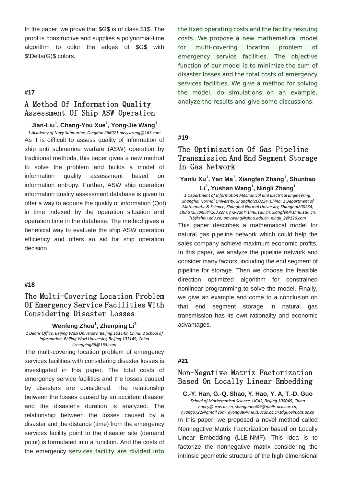In the paper, we prove that \$G\$ is of class \$1\$. The proof is constructive and supplies a polynomial-time algorithm to color the edges of \$G\$ with \$\Delta(G)\$ colors.

#### **#17**

# A Method Of Information Quality Assessment Of Ship ASW Operation

**Jian-Liu<sup>1</sup> , Chang-You Xue<sup>1</sup> , Yong-Jie Wang<sup>1</sup>**

*1 Academy of Navy Submarine, Qingdao 266071 navystrong@163.com* As it is difficult to assess quality of information of ship anti submarine warfare (ASW) operation by traditional methods, this paper gives a new method to solve the problem and builds a model of information quality assessment based on information entropy. Further, ASW ship operation information quality assessment database is given to offer a way to acquire the quality of information (QoI) in time indexed by the operation situation and operation time in the database. The method gives a beneficial way to evaluate the ship ASW operation efficiency and offers an aid for ship operation decision.

#### **#18**

# The Multi-Covering Location Problem Of Emergency Service Facilities With Considering Disaster Losses

### **Wenfeng Zhou<sup>1</sup> , Zhenping Li2**

*1 Deans Office, Beijing Wuzi University, Beijing 101149, China; 2 School of Information, Beijing Wuzi University, Beijing 101149, China lizhenping66@163.com*

The multi-covering location problem of emergency services facilities with considering disaster losses is investigated in this paper. The total costs of emergency service facilities and the losses caused by disasters are considered. The relationship between the losses caused by an accident disaster and the disaster's duration is analyzed. The relationship between the losses caused by a disaster and the distance (time) from the emergency services facility point to the disaster site (demand point) is formulated into a function. And the costs of the emergency services facility are divided into

the fixed operating costs and the facility rescuing costs. We propose a new mathematical model for multi-covering location problem of emergency service facilities. The objective function of our model is to minimize the sum of disaster losses and the total costs of emergency services facilities. We give a method for solving the model, do simulations on an example, analyze the results and give some discussions.

### **#19**

# The Optimization Of Gas Pipeline Transmission And End Segment Storage In Gas Network

# **Yanlu Xu<sup>1</sup> , Yan Ma<sup>1</sup> , Xiangfen Zhang<sup>1</sup> , Shunbao Li2 , Yushan Wang<sup>1</sup> , Ningli Zhang<sup>1</sup>**

*1 Department of Information Mechanical and Electrical Engineering, Shanghai Normal University, Shanghai200234, China; 2 Department of Mathematic & Science, Shanghai Normal University, Shanghai200234, China xu.yanlu@163.com, ma-yan@shnu.edu.cn, xiangfen@shnu.edu.cn, lsb@shnu.edu.cn, amywang@shnu.edu.cn, ningli\_2@126.com*

This paper describes a mathematical model for natural gas pipeline network which could help the sales company achieve maximum economic profits. In this paper, we analyze the pipeline network and consider many factors, including the end segment of pipeline for storage. Then we choose the feasible direction optimized algorithm for constrained nonlinear programming to solve the model. Finally, we give an example and come to a conclusion on that end segment storage in natural gas transmission has its own rationality and economic advantages.

### **#21**

## Non-Negative Matrix Factorization Based On Locally Linear Embedding

**C.-Y. Han, G.-Q. Shao, Y. Hao, Y. A, T.-D. Guo**

*School of Mathematical Science, UCAS, Beijing 100049, China [hancy@ucas.ac.cn,](mailto:hancy@ucas.ac.cn) [shaoguanqi09@mails.ucas.ac.cn,](mailto:shaoguanqi09@mails.ucas.ac.cn)* 

*[hyang0722@gmail.com,](mailto:hyang0722@gmail.com) [ayong08@mails.ucas.ac.cn,tdguo@ucas.ac.cn](mailto:ayong08@mails.ucas.ac.cn,tdguo@ucas.ac.cn)* In this paper, we proposed a novel method called Nonnegative Matrix Factorization based on Locally Linear Embedding (LLE-NMF). This idea is to factorize the nonnegative matrix considering the intrinsic geometric structure of the high dimensional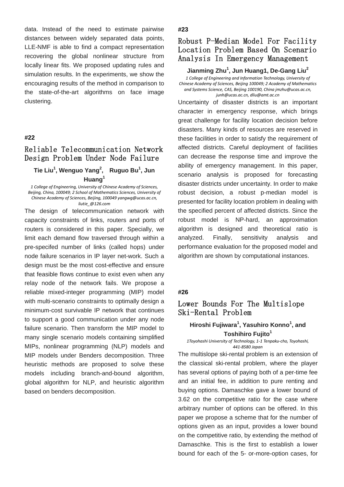data. Instead of the need to estimate pairwise distances between widely separated data points, LLE-NMF is able to find a compact representation recovering the global nonlinear structure from locally linear fits. We proposed updating rules and simulation results. In the experiments, we show the encouraging results of the method in comparison to the state-of-the-art algorithms on face image clustering.

#### **#22**

# Reliable Telecommunication Network Design Problem Under Node Failure

# **Tie Liu<sup>1</sup> , Wenguo Yang<sup>2</sup> , Ruguo Bu<sup>1</sup> , Jun Huang<sup>1</sup>**

*1 College of Engineering, University of Chinese Academy of Sciences, Beijing, China, 100049; 2 School of Mathematics Sciences, University of Chinese Academy of Sciences, Beijing, 100049 yangwg@ucas.ac.cn, liutie\_@126.com*

The design of telecommunication network with capacity constraints of links, routers and ports of routers is considered in this paper. Specially, we limit each demand flow traversed through within a pre-specifed number of links (called hops) under node failure scenarios in IP layer net-work. Such a design must be the most cost-effective and ensure that feasible flows continue to exist even when any relay node of the network fails. We propose a reliable mixed-integer programming (MIP) model with multi-scenario constraints to optimally design a minimum-cost survivable IP network that continues to support a good communication under any node failure scenario. Then transform the MIP model to many single scenario models containing simplified MIPs, nonlinear programming (NLP) models and MIP models under Benders decomposition. Three heuristic methods are proposed to solve these models including branch-and-bound algorithm, global algorithm for NLP, and heuristic algorithm based on benders decomposition.

### **#23**

# Robust P-Median Model For Facility Location Problem Based On Scenario Analysis In Emergency Management

### **Jianming Zhu<sup>1</sup> , Jun Huang1, De-Gang Liu<sup>2</sup>**

*1 College of Engineering and Information Technology, University of Chinese Academy of Sciences, Beijing 100049; 2 Academy of Mathematics and Systems Science, CAS, Beijing 100190, China jmzhu@ucas.ac.cn, junh@ucas.ac.cn, dliu@amt.ac.cn*

Uncertainty of disaster districts is an important character in emergency response, which brings great challenge for facility location decision before disasters. Many kinds of resources are reserved in these facilities in order to satisfy the requirement of affected districts. Careful deployment of facilities can decrease the response time and improve the ability of emergency management. In this paper, scenario analysis is proposed for forecasting disaster districts under uncertainty. In order to make robust decision, a robust p-median model is presented for facility location problem in dealing with the specified percent of affected districts. Since the robust model is NP-hard, an approximation algorithm is designed and theoretical ratio is analyzed. Finally, sensitivity analysis and performance evaluation for the proposed model and algorithm are shown by computational instances.

#### **#26**

### Lower Bounds For The Multislope Ski-Rental Problem

### **Hiroshi Fujiwara1 , Yasuhiro Konno<sup>1</sup> , and Toshihiro Fujito1**

*1Toyohashi University of Technology, 1-1 Tenpaku-cho, Toyohashi, 441-8580 Japan*

The multislope ski-rental problem is an extension of the classical ski-rental problem, where the player has several options of paying both of a per-time fee and an initial fee, in addition to pure renting and buying options. Damaschke gave a lower bound of 3.62 on the competitive ratio for the case where arbitrary number of options can be offered. In this paper we propose a scheme that for the number of options given as an input, provides a lower bound on the competitive ratio, by extending the method of Damaschke. This is the first to establish a lower bound for each of the 5- or-more-option cases, for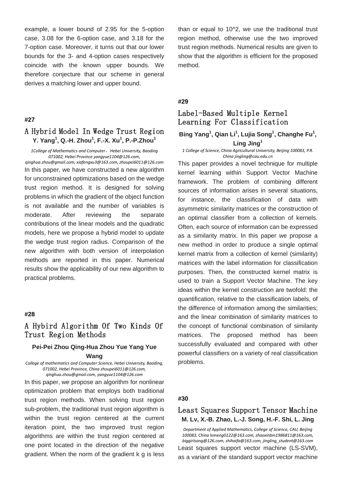example, a lower bound of 2.95 for the 5-option case, 3.08 for the 6-option case, and 3.18 for the 7-option case. Moreover, it turns out that our lower bounds for the 3- and 4-option cases respectively coincide with the known upper bounds. We therefore conjecture that our scheme in general derives a matching lower and upper bound.

### **#27**

# A Hybrid Model In Wedge Trust Region **Y. Yang<sup>1</sup> , Q.-H. Zhou<sup>1</sup> , F.-X. Xu<sup>1</sup> , P.-P.Zhou<sup>1</sup>**

*1College of Mathematics and Computer*,*Hebei University, Baoding 071002, Hebei Province yangyue1104@126.com, qinghua.zhou@gmail.com, xiafengxu3@163.com, zhoupei6011@126.com* In this paper, we have constructed a new algorithm for unconstrained optimizations based on the wedge trust region method. It is designed for solving problems in which the gradient of the object function is not available and the number of variables is moderate. After reviewing the separate contributions of the linear models and the quadratic models, here we propose a hybrid model to update the wedge trust region radius. Comparison of the new algorithm with both version of interpolation methods are reported in this paper. Numerical results show the applicability of our new algorithm to practical problems.

### **#28**

# A Hybird Algorithm Of Two Kinds Of Trust Region Methods

#### **Pei-Pei Zhou Qing-Hua Zhou Yue Yang Yue**

### **Wang**

*College of mathematics and Computer Science, Hebei University, Baoding, 071002, Hebei Province, China zhoupei6011@126.com, qinghua.zhou@gmail.com, yangyue1104@126.com*

In this paper, we propose an algorithm for nonlinear optimization problem that employs both traditional trust region methods. When solving trust region sub-problem, the traditional trust region algorithm is within the trust region centered at the current iteration point, the two improved trust region algorithms are within the trust region centered at one point located in the direction of the negative gradient. When the norm of the gradient k g is less

than or equal to 10^2, we use the traditional trust region method, otherwise use the two improved trust region methods. Numerical results are given to show that the algorithm is efficient for the proposed method.

### **#29**

# Label-Based Multiple Kernel Learning For Classification

### Bing Yang<sup>1</sup>, Qian Li<sup>1</sup>, Lujia Song<sup>1</sup>, Changhe Fu<sup>1</sup>, **Ling Jing<sup>1</sup>**

*1 College of Science, China Agricultural University, Beijing 100083, P.R. China jingling@cau.edu.cn*

This paper provides a novel technique for multiple kernel learning within Support Vector Machine framework. The problem of combining different sources of information arises in several situations, for instance, the classification of data with asymmetric similarity matrices or the construction of an optimal classifier from a collection of kernels. Often, each source of information can be expressed as a similarity matrix. In this paper we propose a new method in order to produce a single optimal kernel matrix from a collection of kernel (similarity) matrices with the label information for classification purposes. Then, the constructed kernel matrix is used to train a Support Vector Machine. The key ideas within the kernel construction are twofold: the quantification, relative to the classification labels, of the difference of information among the similarities; and the linear combination of similarity matrices to the concept of functional combination of similarity matrices. The proposed method has been successfully evaluated and compared with other powerful classifiers on a variety of real classification problems.

### **#30**

### Least Squares Support Tensor Machine **M. Lv, X.-B. Zhao, L.-J. Song, H.-F. Shi, L. Jing**

*Department of Applied Mathematics, College of Science, CAU, Beijing 100083, China lvmeng0122@163.com, zhaoxinbin1986811@163.com, biggirlsong@126.com, shihaifa@163.com, jingling\_student@163.com* Least squares support vector machine (LS-SVM), as a variant of the standard support vector machine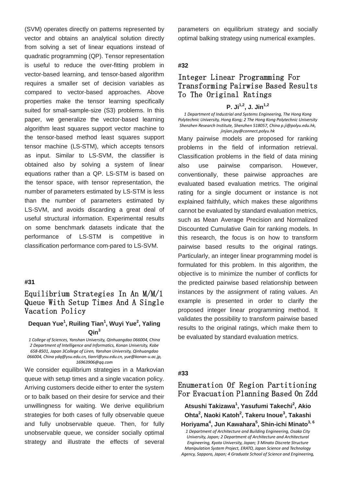(SVM) operates directly on patterns represented by vector and obtains an analytical solution directly from solving a set of linear equations instead of quadratic programming (QP). Tensor representation is useful to reduce the over-fitting problem in vector-based learning, and tensor-based algorithm requires a smaller set of decision variables as compared to vector-based approaches. Above properties make the tensor learning specifically suited for small-sample-size (S3) problems. In this paper, we generalize the vector-based learning algorithm least squares support vector machine to the tensor-based method least squares support tensor machine (LS-STM), which accepts tensors as input. Similar to LS-SVM, the classifier is obtained also by solving a system of linear equations rather than a QP. LS-STM is based on the tensor space, with tensor representation, the number of parameters estimated by LS-STM is less than the number of parameters estimated by LS-SVM, and avoids discarding a great deal of useful structural information. Experimental results on some benchmark datasets indicate that the performance of LS-STM is competitive in classification performance com-pared to LS-SVM.

### **#31**

# Equilibrium Strategies In An M/M/1 Queue With Setup Times And A Single Vacation Policy

### **Dequan Yue<sup>1</sup> , Ruiling Tian1 , Wuyi Yue2 , Yaling Qin<sup>3</sup>**

*1 College of Sciences, Yanshan University, Qinhuangdao 066004, China 2 Department of Intelligence and Informatics, Konan University, Kobe 658-8501, Japan 3College of Liren, Yanshan University, Qinhuangdao 066004, China ydq@ysu.edu.cn, tianrl@ysu.edu.cn, yue@konan-u.ac.jp, [16963906@qq.com](mailto:16963906@qq.com)*

We consider equilibrium strategies in a Markovian queue with setup times and a single vacation policy. Arriving customers decide either to enter the system or to balk based on their desire for service and their unwillingness for waiting. We derive equilibrium strategies for both cases of fully observable queue and fully unobservable queue. Then, for fully unobservable queue, we consider socially optimal strategy and illustrate the effects of several

parameters on equilibrium strategy and socially optimal balking strategy using numerical examples.

### **#32**

# Integer Linear Programming For Transforming Pairwise Based Results To The Original Ratings

# **P. Ji1,2, J. Jin1,2**

*1 Department of Industrial and Systems Engineering, The Hong Kong Polytechnic University, Hong Kong; 2 The Hong Kong Polytechnic University Shenzhen Research Institute, Shenzhen 518057, China p.ji@polyu.edu.hk, [jinjian.jay@connect.polyu.hk](mailto:jinjian.jay@connect.polyu.hk)*

Many pairwise models are proposed for ranking problems in the field of information retrieval. Classification problems in the field of data mining also use pairwise comparison. However, conventionally, these pairwise approaches are evaluated based evaluation metrics. The original rating for a single document or instance is not explained faithfully, which makes these algorithms cannot be evaluated by standard evaluation metrics, such as Mean Average Precision and Normalized Discounted Cumulative Gain for ranking models. In this research, the focus is on how to transform pairwise based results to the original ratings. Particularly, an integer linear programming model is formulated for this problem. In this algorithm, the objective is to minimize the number of conflicts for the predicted pairwise based relationship between instances by the assignment of rating values. An example is presented in order to clarify the proposed integer linear programming method. It validates the possibility to transform pairwise based results to the original ratings, which make them to be evaluated by standard evaluation metrics.

#### **#33**

# Enumeration Of Region Partitioning For Evacuation Planning Based On Zdd

**Atsushi Takizawa<sup>1</sup> , Yasufumi Takechi2 , Akio Ohta<sup>2</sup> , Naoki Katoh<sup>2</sup> , Takeru Inoue3 , Takashi Horiyama<sup>4</sup> , Jun Kawahara<sup>5</sup> , Shin-ichi Minato3, 6**

*1 Department of Architecture and Building Engineering, Osaka City University, Japan; 2 Department of Architecture and Architectural Engineering, Kyoto University, Japan; 3 Minato Discrete Structure Manipulation System Project, ERATO, Japan Science and Technology Agency, Sapporo, Japan; 4 Graduate School of Science and Engineering,*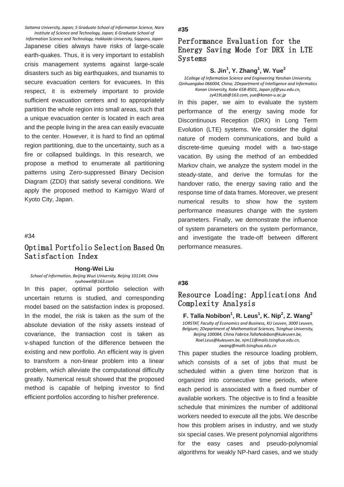*Saitama University, Japan; 5 Graduate School of Information Science, Nara Institute of Science and Technology, Japan; 6 Graduate School of* 

*Information Science and Technology, Hokkaido University, Sapporo, Japan* Japanese cities always have risks of large-scale earth-quakes. Thus, it is very important to establish crisis management systems against large-scale disasters such as big earthquakes, and tsunamis to secure evacuation centers for evacuees. In this respect, it is extremely important to provide sufficient evacuation centers and to appropriately partition the whole region into small areas, such that a unique evacuation center is located in each area and the people living in the area can easily evacuate to the center. However, it is hard to find an optimal region partitioning, due to the uncertainty, such as a fire or collapsed buildings. In this research, we propose a method to enumerate all partitioning patterns using Zero-suppressed Binary Decision Diagram (ZDD) that satisfy several conditions. We apply the proposed method to Kamigyo Ward of Kyoto City, Japan.

#### #34

## Optimal Portfolio Selection Based On Satisfaction Index

### **Hong-Wei Liu**

*School of Information, Beijing Wuzi University, Beijing 101149, China ryuhowell@163.com*

In this paper, optimal portfolio selection with uncertain returns is studied, and corresponding model based on the satisfaction index is proposed. In the model, the risk is taken as the sum of the absolute deviation of the risky assets instead of covariance, the transaction cost is taken as v-shaped function of the difference between the existing and new portfolio. An efficient way is given to transform a non-linear problem into a linear problem, which alleviate the computational difficulty greatly. Numerical result showed that the proposed method is capable of helping investor to find efficient portfolios according to his/her preference.

### **#35**

## Performance Evaluation for the Energy Saving Mode for DRX in LTE Systems

### **S. Jin<sup>1</sup> , Y. Zhang<sup>1</sup> , W. Yue2**

*1College of Information Science and Engineering Yanshan University, Qinhuangdao 066004, China; 2Department of Intelligence and Informatics Konan University, Kobe 658-8501, Japan jsf@ysu.edu.cn, zy419Lab@163.com, yue@konan-u.ac.jp*

In this paper, we aim to evaluate the system performance of the energy saving mode for Discontinuous Reception (DRX) in Long Term Evolution (LTE) systems. We consider the digital nature of modern communications, and build a discrete-time queuing model with a two-stage vacation. By using the method of an embedded Markov chain, we analyze the system model in the steady-state, and derive the formulas for the handover ratio, the energy saving ratio and the response time of data frames. Moreover, we present numerical results to show how the system performance measures change with the system parameters. Finally, we demonstrate the influence of system parameters on the system performance, and investigate the trade-off between different performance measures.

#### **#36**

## Resource Loading: Applications And Complexity Analysis

**F. Talla Nobibon<sup>1</sup>, R. Leus<sup>1</sup>, K. Nip<sup>2</sup>, Z. Wang<sup>2</sup>** *1ORSTAT, Faculty of Economics and Business, KU Leuven, 3000 Leuven, Belgium; 2Department of Mathematical Sciences, Tsinghua University, Beijing 100084, China Fabrice.TallaNobibon@kuleuven.be, Roel.Leus@kuleuven.be, njm11@mails.tsinghua.edu.cn, zwang@math.tsinghua.edu.cn*

This paper studies the resource loading problem, which consists of a set of jobs that must be scheduled within a given time horizon that is organized into consecutive time periods, where each period is associated with a fixed number of available workers. The objective is to find a feasible schedule that minimizes the number of additional workers needed to execute all the jobs. We describe how this problem arises in industry, and we study six special cases. We present polynomial algorithms for the easy cases and pseudo-polynomial algorithms for weakly NP-hard cases, and we study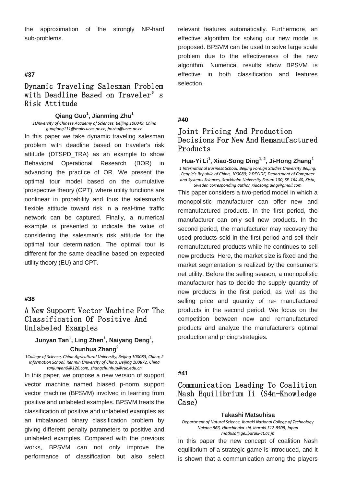the approximation of the strongly NP-hard sub-problems.

### **#37**

# Dynamic Traveling Salesman Problem with Deadline Based on Traveler's Risk Attitude

### **Qiang Guo<sup>1</sup> , Jianming Zhu<sup>1</sup>**

*1University of Chinese Academy of Sciences, Beijing 100049, China guoqiang111@mails.ucas.ac.cn, jmzhu@ucas.ac.cn*

In this paper we take dynamic traveling salesman problem with deadline based on traveler's risk attitude (DTSPD\_TRA) as an example to show Behavioral Operational Research (BOR) in advancing the practice of OR. We present the optimal tour model based on the cumulative prospective theory (CPT), where utility functions are nonlinear in probability and thus the salesman's flexible attitude toward risk in a real-time traffic network can be captured. Finally, a numerical example is presented to indicate the value of considering the salesman's risk attitude for the optimal tour determination. The optimal tour is different for the same deadline based on expected utility theory (EU) and CPT.

### **#38**

# A New Support Vector Machine For The Classification Of Positive And Unlabeled Examples

**Junyan Tan<sup>1</sup> , Ling Zhen<sup>1</sup> , Naiyang Deng<sup>1</sup> , Chunhua Zhang<sup>2</sup>**

*1College of Science, China Agricultural University, Beijing 100083, China; 2 Information School, Renmin University of China, Beijing 100872, China tanjunyan0@126.com, zhangchunhua@ruc.edu.cn*

In this paper, we propose a new version of support vector machine named biased p-norm support vector machine (BPSVM) involved in learning from positive and unlabeled examples. BPSVM treats the classification of positive and unlabeled examples as an imbalanced binary classification problem by giving different penalty parameters to positive and unlabeled examples. Compared with the previous works, BPSVM can not only improve the performance of classification but also select

relevant features automatically. Furthermore, an effective algorithm for solving our new model is proposed. BPSVM can be used to solve large scale problem due to the effectiveness of the new algorithm. Numerical results show BPSVM is effective in both classification and features selection.

### **#40**

# Joint Pricing And Production Decisions For New And Remanufactured Products

**Hua-Yi Li1 , Xiao-Song Ding1, 2 , Ji-Hong Zhang<sup>1</sup>** *1 International Business School, Beijing Foreign Studies University Beijing, People's Republic of China, 100089; 2 DECIDE, Department of Computer* 

*and Systems Sciences, Stockholm University Forum 100, SE-164 40, Kista, Sweden corresponding author[, xiaosong.ding@gmail.com](mailto:xiaosong.ding@gmail.com)*

This paper considers a two-period model in which a monopolistic manufacturer can offer new and remanufactured products. In the first period, the manufacturer can only sell new products. In the second period, the manufacturer may recovery the used products sold in the first period and sell their remanufactured products while he continues to sell new products. Here, the market size is fixed and the market segmentation is realized by the consumer's net utility. Before the selling season, a monopolistic manufacturer has to decide the supply quantity of new products in the first period, as well as the selling price and quantity of re- manufactured products in the second period. We focus on the competition between new and remanufactured products and analyze the manufacturer's optimal production and pricing strategies.

#### **#41**

# Communication Leading To Coalition Nash Equilibrium Ii (S4n-Knowledge Case)

#### **Takashi Matsuhisa**

*Department of Natural Science, Ibaraki National College of Technology Nakane 866, Hitachinaka-shi, Ibaraki 312-8508, Japan mathisa@ge.ibaraki-ct.ac.jp*

In this paper the new concept of coalition Nash equilibrium of a strategic game is introduced, and it is shown that a communication among the players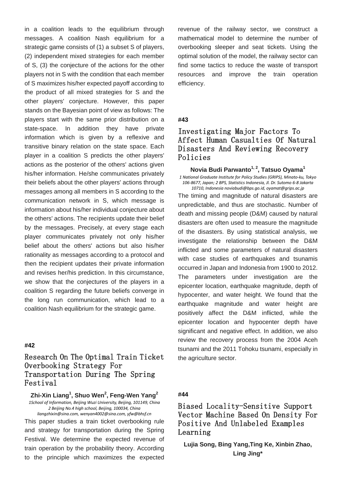in a coalition leads to the equilibrium through messages. A coalition Nash equilibrium for a strategic game consists of (1) a subset S of players, (2) independent mixed strategies for each member of S, (3) the conjecture of the actions for the other players not in S with the condition that each member of S maximizes his/her expected payoff according to the product of all mixed strategies for S and the other players' conjecture. However, this paper stands on the Bayesian point of view as follows: The players start with the same prior distribution on a state-space. In addition they have private information which is given by a reflexive and transitive binary relation on the state space. Each player in a coalition S predicts the other players' actions as the posterior of the others' actions given his/her information. He/she communicates privately their beliefs about the other players' actions through messages among all members in S according to the communication network in S, which message is information about his/her individual conjecture about the others' actions. The recipients update their belief by the messages. Precisely, at every stage each player communicates privately not only his/her belief about the others' actions but also his/her rationality as messages according to a protocol and then the recipient updates their private information and revises her/his prediction. In this circumstance, we show that the conjectures of the players in a coalition S regarding the future beliefs converge in the long run communication, which lead to a coalition Nash equilibrium for the strategic game.

### **#42**

Research On The Optimal Train Ticket Overbooking Strategy For Transportation During The Spring Festival

**Zhi-Xin Liang<sup>1</sup> , Shuo Wen<sup>2</sup> , Feng-Wen Yang<sup>2</sup>** *1School of Information, Beijing Wuzi University, Beijing, 101149, China 2 Beijing No.4 high school, Beijing, 100034, China*

*liangzhixin@sina.com, wenyan4002@sina.com, yfw@bhsf.cn* This paper studies a train ticket overbooking rule and strategy for transportation during the Spring Festival. We determine the expected revenue of train operation by the probability theory. According to the principle which maximizes the expected revenue of the railway sector, we construct a mathematical model to determine the number of overbooking sleeper and seat tickets. Using the optimal solution of the model, the railway sector can find some tactics to reduce the waste of transport resources and improve the train operation efficiency.

### **#43**

# Investigating Major Factors To Affect Human Casualties Of Natural Disasters And Reviewing Recovery Policies

**Novia Budi Parwanto1, 2, Tatsuo Oyama1** *1 National Graduate Institute for Policy Studies (GRIPS), Minato-ku, Tokyo* 

*106-8677, Japan; 2 BPS, Statistics Indonesia, Jl. Dr. Sutomo 6-8 Jakarta 10710, Indonesia noviabudi@bps.go.id[, oyamat@grips.ac.jp](mailto:oyamat@grips.ac.jp)*

The timing and magnitude of natural disasters are unpredictable, and thus are stochastic. Number of death and missing people (D&M) caused by natural disasters are often used to measure the magnitude of the disasters. By using statistical analysis, we investigate the relationship between the D&M inflicted and some parameters of natural disasters with case studies of earthquakes and tsunamis occurred in Japan and Indonesia from 1900 to 2012. The parameters under investigation are the epicenter location, earthquake magnitude, depth of hypocenter, and water height. We found that the earthquake magnitude and water height are positively affect the D&M inflicted, while the epicenter location and hypocenter depth have significant and negative effect. In addition, we also review the recovery process from the 2004 Aceh tsunami and the 2011 Tohoku tsunami, especially in the agriculture sector.

### **#44**

Biased Locality-Sensitive Support Vector Machine Based On Density For Positive And Unlabeled Examples Learning

**Lujia Song, Bing Yang,Ting Ke, Xinbin Zhao, Ling Jing\***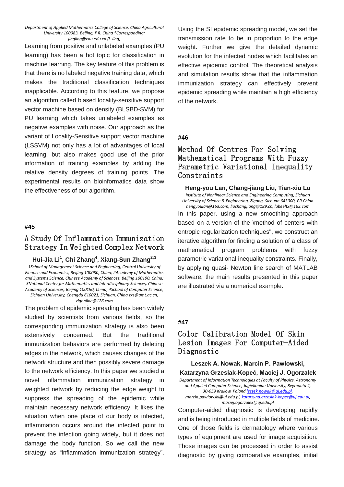#### *Department of Applied Mathematics College of Science, China Agricultural University 100083, Beijing, P.R. China \*Corresponding: jingling@cau.edu.cn (L.Jing)*

Learning from positive and unlabeled examples (PU learning) has been a hot topic for classification in machine learning. The key feature of this problem is that there is no labeled negative training data, which makes the traditional classification techniques inapplicable. According to this feature, we propose an algorithm called biased locality-sensitive support vector machine based on density (BLSBD-SVM) for PU learning which takes unlabeled examples as negative examples with noise. Our approach as the variant of Locality-Sensitive support vector machine (LSSVM) not only has a lot of advantages of local learning, but also makes good use of the prior information of training examples by adding the relative density degrees of training points. The experimental results on bioinformatics data show the effectiveness of our algorithm.

#### **#45**

# A Study Of Inflammation Immunization Strategy In Weighted Complex Network

**Hui-Jia Li1 , Chi Zhang<sup>4</sup> , Xiang-Sun Zhang2;3** *1School of Management Science and Engineering, Central University of Finance and Economics, Beijing 100080, China; 2Academy of Mathematics and Systems Science, Chinese Academy of Sciences, Beijing 100190, China;* 

*3National Center for Mathematics and Interdisciplinary Sciences, Chinese Academy of Sciences, Beijing 100190, China; 4School of Computer Science, Sichuan University, Chengdu 610021, Sichuan, China zxs@amt.ac.cn, [zigonline@126.com](mailto:zigonline@126.com)*

The problem of epidemic spreading has been widely studied by scientists from various fields, so the corresponding immunization strategy is also been extensively concerned. But the traditional immunization behaviors are performed by deleting edges in the network, which causes changes of the network structure and then possibly severe damage to the network efficiency. In this paper we studied a novel inflammation immunization strategy in weighted network by reducing the edge weight to suppress the spreading of the epidemic while maintain necessary network efficiency. It likes the situation when one place of our body is infected, inflammation occurs around the infected point to prevent the infection going widely, but it does not damage the body function. So we call the new strategy as "inflammation immunization strategy".

Using the SI epidemic spreading model, we set the transmission rate to be in proportion to the edge weight. Further we give the detailed dynamic evolution for the infected nodes which facilitates an effective epidemic control. The theoretical analysis and simulation results show that the inflammation immunization strategy can effectively prevent epidemic spreading while maintain a high efficiency of the network.

#### **#46**

# Method Of Centres For Solving Mathematical Programs With Fuzzy Parametric Variational Inequality Constraints

#### **Heng-you Lan, Chang-jiang Liu, Tian-xiu Lu**

*Institute of Nonlinear Science and Engineering Computing, Sichuan University of Science & Engineering, Zigong, Sichuan 643000, PR China hengyoulan@163.com, liuchangjiang@189.cn[, lubeeltx@163.com](mailto:lubeeltx@163.com)*

In this paper, using a new smoothing approach based on a version of the \method of centers with entropic regularization techniques", we construct an iterative algorithm for finding a solution of a class of mathematical program problems with fuzzy parametric variational inequality constraints. Finally, by applying quasi- Newton line search of MATLAB software, the main results presented in this paper are illustrated via a numerical example.

### **#47**

# Color Calibration Model Of Skin Lesion Images For Computer-Aided Diagnostic

**Leszek A. Nowak, Marcin P. Pawłowski, Katarzyna Grzesiak-Kopeć, Maciej J. Ogorzałek** *Department of Information Technologies at Faculty of Physics, Astronomy and Applied Computer Science, Jagiellonian University, Reymonta 4, 30-059 Kraków, Poland [leszek.nowak@uj.edu.pl,](mailto:leszek.nowak@uj.edu.pl)* 

*marcin.pawlowski@uj.edu.pl[, katarzyna.grzesiak-kopec@uj.edu.pl,](mailto:katarzyna.grzesiak-kopec@uj.edu.pl) [maciej.ogorzalek@uj.edu.pl](mailto:maciej.ogorzalek@uj.edu.pl)*

Computer-aided diagnostic is developing rapidly and is being introduced in multiple fields of medicine. One of those fields is dermatology where various types of equipment are used for image acquisition. Those images can be processed in order to assist diagnostic by giving comparative examples, initial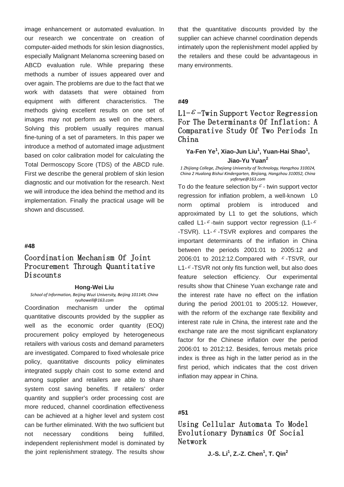image enhancement or automated evaluation. In our research we concentrate on creation of computer-aided methods for skin lesion diagnostics, especially Malignant Melanoma screening based on ABCD evaluation rule. While preparing these methods a number of issues appeared over and over again. The problems are due to the fact that we work with datasets that were obtained from equipment with different characteristics. The methods giving excellent results on one set of images may not perform as well on the others. Solving this problem usually requires manual fine-tuning of a set of parameters. In this paper we introduce a method of automated image adjustment based on color calibration model for calculating the Total Dermoscopy Score (TDS) of the ABCD rule. First we describe the general problem of skin lesion diagnostic and our motivation for the research. Next we will introduce the idea behind the method and its implementation. Finally the practical usage will be shown and discussed.

#### **#48**

# Coordination Mechanism Of Joint Procurement Through Quantitative Discounts

#### **Hong-Wei Liu**

*School of Information, Beijing Wuzi University, Beijing 101149, China [ryuhowell@163.com](mailto:ryuhowell@163.com)*

Coordination mechanism under the optimal quantitative discounts provided by the supplier as well as the economic order quantity (EOQ) procurement policy employed by heterogeneous retailers with various costs and demand parameters are investigated. Compared to fixed wholesale price policy, quantitative discounts policy eliminates integrated supply chain cost to some extend and among supplier and retailers are able to share system cost saving benefits. If retailers' order quantity and supplier's order processing cost are more reduced, channel coordination effectiveness can be achieved at a higher level and system cost can be further eliminated. With the two sufficient but not necessary conditions being fulfilled, independent replenishment model is dominated by the joint replenishment strategy. The results show

that the quantitative discounts provided by the supplier can achieve channel coordination depends intimately upon the replenishment model applied by the retailers and these could be advantageous in many environments.

#### **#49**

# L1- $\epsilon$ -Twin Support Vector Regression For The Determinants Of Inflation: A Comparative Study Of Two Periods In China

### Ya-Fen Ye<sup>1</sup>, Xiao-Jun Liu<sup>1</sup>, Yuan-Hai Shao<sup>1</sup>, **Jiao-Yu Yuan<sup>2</sup>**

*1 Zhijiang College, Zhejiang University of Technology, Hangzhou 310024, China 2 Hualong Bishui Kindergarten, Binjiang, Hangzhou 310052, China [yafenye@163.com](mailto:yafenye@163.com)*

To do the feature selection by  $\varepsilon$  - twin support vector regression for inflation problem, a well-known L0 norm optimal problem is introduced and approximated by L1 to get the solutions, which called L1- $\epsilon$ -twin support vector regression (L1- $\epsilon$ -TSVR). L1- $\epsilon$ -TSVR explores and compares the important determinants of the inflation in China between the periods 2001:01 to 2005:12 and 2006:01 to 2012:12. Compared with  $\epsilon$ -TSVR, our L1- $\epsilon$ -TSVR not only fits function well, but also does feature selection efficiency. Our experimental results show that Chinese Yuan exchange rate and the interest rate have no effect on the inflation during the period 2001:01 to 2005:12. However, with the reform of the exchange rate flexibility and interest rate rule in China, the interest rate and the exchange rate are the most significant explanatory factor for the Chinese inflation over the period 2006:01 to 2012:12. Besides, ferrous metals price index is three as high in the latter period as in the first period, which indicates that the cost driven inflation may appear in China.

### **#51**

Using Cellular Automata To Model Evolutionary Dynamics Of Social Network

**J.-S. Li1 , Z.-Z. Chen<sup>1</sup> , T. Qin<sup>2</sup>**